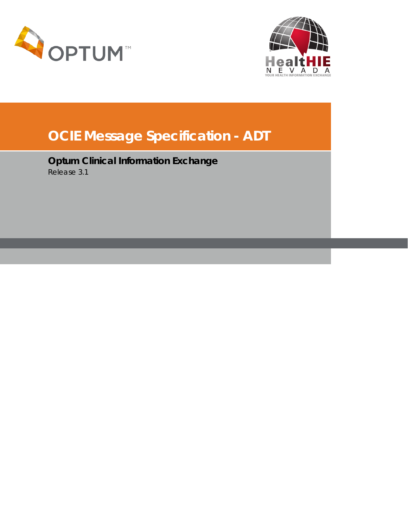



# **OCIE Message Specification - ADT**

**Optum Clinical Information Exchange** Release 3.1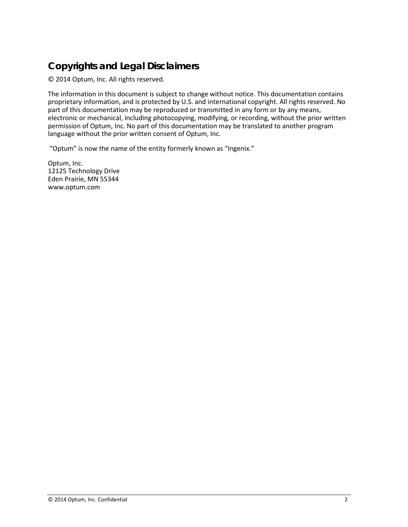### <span id="page-1-0"></span>**Copyrights and Legal Disclaimers**

© 2014 Optum, Inc. All rights reserved.

The information in this document is subject to change without notice. This documentation contains proprietary information, and is protected by U.S. and international copyright. All rights reserved. No part of this documentation may be reproduced or transmitted in any form or by any means, electronic or mechanical, including photocopying, modifying, or recording, without the prior written permission of Optum, Inc. No part of this documentation may be translated to another program language without the prior written consent of Optum, Inc.

"Optum" is now the name of the entity formerly known as "Ingenix."

Optum, Inc. 12125 Technology Drive Eden Prairie, MN 55344 www.optum.com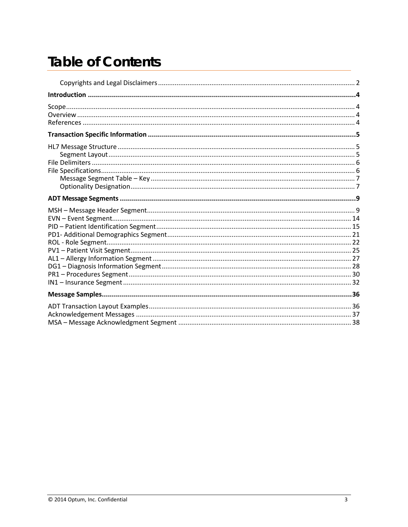# **Table of Contents**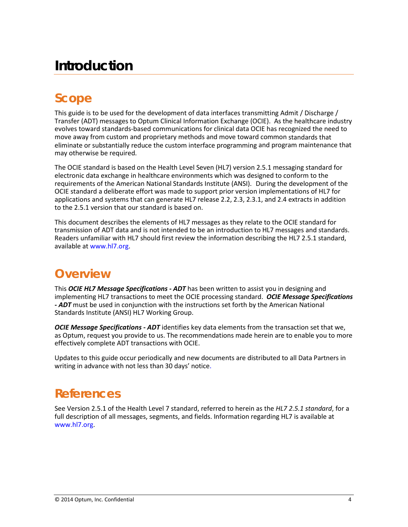# <span id="page-3-0"></span>**Introduction**

### <span id="page-3-1"></span>**Scope**

This guide is to be used for the development of data interfaces transmitting Admit / Discharge / Transfer (ADT) messages to Optum Clinical Information Exchange (OCIE). As the healthcare industry evolves toward standards-based communications for clinical data OCIE has recognized the need to move away from custom and proprietary methods and move toward common standards that eliminate or substantially reduce the custom interface programming and program maintenance that may otherwise be required.

The OCIE standard is based on the Health Level Seven (HL7) version 2.5.1 messaging standard for electronic data exchange in healthcare environments which was designed to conform to the requirements of the American National Standards Institute (ANSI). During the development of the OCIE standard a deliberate effort was made to support prior version implementations of HL7 for applications and systems that can generate HL7 release 2.2, 2.3, 2.3.1, and 2.4 extracts in addition to the 2.5.1 version that our standard is based on.

This document describes the elements of HL7 messages as they relate to the OCIE standard for transmission of ADT data and is not intended to be an introduction to HL7 messages and standards. Readers unfamiliar with HL7 should first review the information describing the HL7 2.5.1 standard, available at [www.hl7.org.](http://www.hl7.org/)

### <span id="page-3-2"></span>**Overview**

This *OCIE HL7 Message Specifications - ADT* has been written to assist you in designing and implementing HL7 transactions to meet the OCIE processing standard. *OCIE Message Specifications - ADT* must be used in conjunction with the instructions set forth by the American National Standards Institute (ANSI) HL7 Working Group.

*OCIE Message Specifications - ADT* identifies key data elements from the transaction set that we, as Optum, request you provide to us. The recommendations made herein are to enable you to more effectively complete ADT transactions with OCIE.

Updates to this guide occur periodically and new documents are distributed to all Data Partners in writing in advance with not less than 30 days' notice.

### <span id="page-3-3"></span>**References**

See Version 2.5.1 of the Health Level 7 standard, referred to herein as the *HL7 2.5.1 standard*, for a full description of all messages, segments, and fields. Information regarding HL7 is available at [www.hl7.org.](http://www.hl7.org/)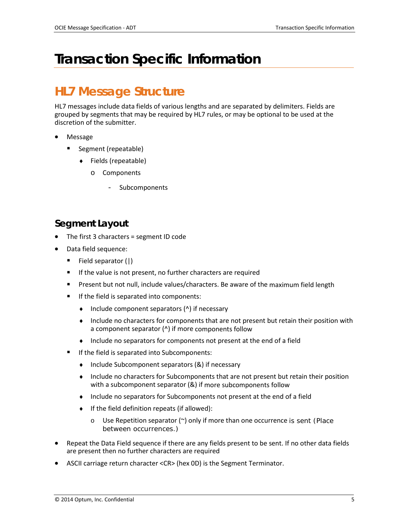# <span id="page-4-0"></span>**Transaction Specific Information**

### <span id="page-4-1"></span>**HL7 Message Structure**

HL7 messages include data fields of various lengths and are separated by delimiters. Fields are grouped by segments that may be required by HL7 rules, or may be optional to be used at the discretion of the submitter.

- Message
	- Segment (repeatable)
		- ♦ Fields (repeatable)
			- o Components
				- **Subcomponents**

### <span id="page-4-2"></span>**Segment Layout**

- The first 3 characters = segment ID code
- Data field sequence:
	- Field separator (|)
	- If the value is not present, no further characters are required
	- **Present but not null, include values/characters. Be aware of the maximum field length**
	- If the field is separated into components:
		- ♦ Include component separators (^) if necessary
		- ♦ Include no characters for components that are not present but retain their position with a component separator (^) if more components follow
		- ♦ Include no separators for components not present at the end of a field
	- If the field is separated into Subcomponents:
		- ♦ Include Subcomponent separators (&) if necessary
		- ♦ Include no characters for Subcomponents that are not present but retain their position with a subcomponent separator (&) if more subcomponents follow
		- Include no separators for Subcomponents not present at the end of a field
		- If the field definition repeats (if allowed):
			- o Use Repetition separator (~) only if more than one occurrence is sent (Place between occurrences.)
- Repeat the Data Field sequence if there are any fields present to be sent. If no other data fields are present then no further characters are required
- ASCII carriage return character <CR> (hex 0D) is the Segment Terminator.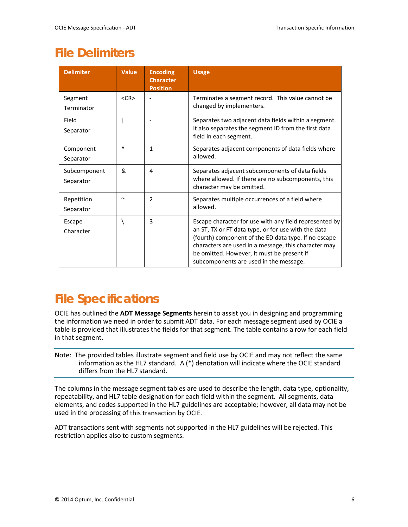### <span id="page-5-0"></span>**File Delimiters**

| <b>Delimiter</b>          | <b>Value</b> | <b>Encoding</b><br><b>Character</b><br><b>Position</b> | <b>Usage</b>                                                                                                                                                                                                                                                                                                          |
|---------------------------|--------------|--------------------------------------------------------|-----------------------------------------------------------------------------------------------------------------------------------------------------------------------------------------------------------------------------------------------------------------------------------------------------------------------|
| Segment<br>Terminator     | $<$ CR $>$   |                                                        | Terminates a segment record. This value cannot be<br>changed by implementers.                                                                                                                                                                                                                                         |
| Field<br>Separator        |              |                                                        | Separates two adjacent data fields within a segment.<br>It also separates the segment ID from the first data<br>field in each segment.                                                                                                                                                                                |
| Component<br>Separator    | $\lambda$    | $\mathbf{1}$                                           | Separates adjacent components of data fields where<br>allowed.                                                                                                                                                                                                                                                        |
| Subcomponent<br>Separator | &            | 4                                                      | Separates adjacent subcomponents of data fields<br>where allowed. If there are no subcomponents, this<br>character may be omitted.                                                                                                                                                                                    |
| Repetition<br>Separator   | $\tilde{}$   | $\overline{\phantom{a}}$                               | Separates multiple occurrences of a field where<br>allowed.                                                                                                                                                                                                                                                           |
| Escape<br>Character       |              | 3                                                      | Escape character for use with any field represented by<br>an ST, TX or FT data type, or for use with the data<br>(fourth) component of the ED data type. If no escape<br>characters are used in a message, this character may<br>be omitted. However, it must be present if<br>subcomponents are used in the message. |

### <span id="page-5-1"></span>**File Specifications**

OCIE has outlined the **ADT Message Segments** herein to assist you in designing and programming the information we need in order to submit ADT data. For each message segment used by OCIE a table is provided that illustrates the fields for that segment. The table contains a row for each field in that segment.

Note: The provided tables illustrate segment and field use by OCIE and may not reflect the same information as the HL7 standard. A (\*) denotation will indicate where the OCIE standard differs from the HL7 standard.

The columns in the message segment tables are used to describe the length, data type, optionality, repeatability, and HL7 table designation for each field within the segment. All segments, data elements, and codes supported in the HL7 guidelines are acceptable; however, all data may not be used in the processing of this transaction by OCIE.

ADT transactions sent with segments not supported in the HL7 guidelines will be rejected. This restriction applies also to custom segments.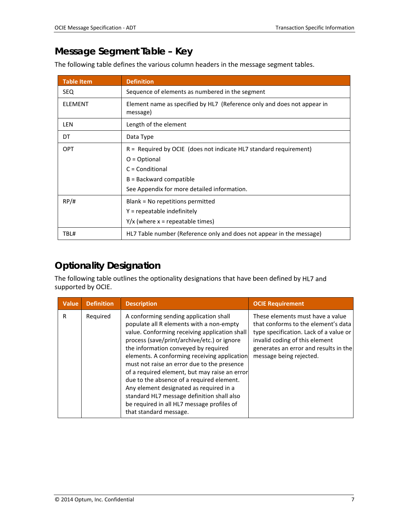### <span id="page-6-0"></span>**Message Segment Table – Key**

The following table defines the various column headers in the message segment tables.

| <b>Table Item</b> | <b>Definition</b>                                                                                                                                                                      |  |  |  |
|-------------------|----------------------------------------------------------------------------------------------------------------------------------------------------------------------------------------|--|--|--|
| <b>SEQ</b>        | Sequence of elements as numbered in the segment                                                                                                                                        |  |  |  |
| <b>ELEMENT</b>    | Element name as specified by HL7 (Reference only and does not appear in<br>message)                                                                                                    |  |  |  |
| LEN               | Length of the element                                                                                                                                                                  |  |  |  |
| DT                | Data Type                                                                                                                                                                              |  |  |  |
| <b>OPT</b>        | $R =$ Required by OCIE (does not indicate HL7 standard requirement)<br>$O = Optional$<br>$C =$ Conditional<br>$B =$ Backward compatible<br>See Appendix for more detailed information. |  |  |  |
| RP/H              | Blank = No repetitions permitted<br>$Y =$ repeatable indefinitely<br>$Y/x$ (where x = repeatable times)                                                                                |  |  |  |
| TBL#              | HL7 Table number (Reference only and does not appear in the message)                                                                                                                   |  |  |  |

### <span id="page-6-1"></span>**Optionality Designation**

The following table outlines the optionality designations that have been defined by HL7 and supported by OCIE.

| Value | <b>Definition</b> | <b>Description</b>                                                                                                                                                                                                                                                                                                                                                                                                                                                                                                                                                                       | <b>OCIE Requirement</b>                                                                                                                                                                                                 |
|-------|-------------------|------------------------------------------------------------------------------------------------------------------------------------------------------------------------------------------------------------------------------------------------------------------------------------------------------------------------------------------------------------------------------------------------------------------------------------------------------------------------------------------------------------------------------------------------------------------------------------------|-------------------------------------------------------------------------------------------------------------------------------------------------------------------------------------------------------------------------|
| R     | Required          | A conforming sending application shall<br>populate all R elements with a non-empty<br>value. Conforming receiving application shall<br>process (save/print/archive/etc.) or ignore<br>the information conveyed by required<br>elements. A conforming receiving application<br>must not raise an error due to the presence<br>of a required element, but may raise an error<br>due to the absence of a required element.<br>Any element designated as required in a<br>standard HL7 message definition shall also<br>be required in all HL7 message profiles of<br>that standard message. | These elements must have a value<br>that conforms to the element's data<br>type specification. Lack of a value or<br>invalid coding of this element<br>generates an error and results in the<br>message being rejected. |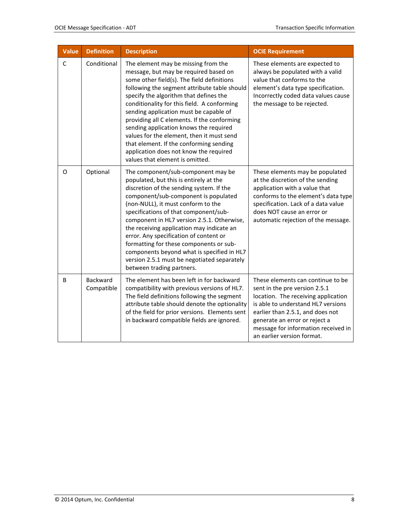| <b>Value</b> | <b>Definition</b>      | <b>Description</b>                                                                                                                                                                                                                                                                                                                                                                                                                                                                                                                                                          | <b>OCIE Requirement</b>                                                                                                                                                                                                                                                                   |
|--------------|------------------------|-----------------------------------------------------------------------------------------------------------------------------------------------------------------------------------------------------------------------------------------------------------------------------------------------------------------------------------------------------------------------------------------------------------------------------------------------------------------------------------------------------------------------------------------------------------------------------|-------------------------------------------------------------------------------------------------------------------------------------------------------------------------------------------------------------------------------------------------------------------------------------------|
| $\mathsf C$  | Conditional            | The element may be missing from the<br>message, but may be required based on<br>some other field(s). The field definitions<br>following the segment attribute table should<br>specify the algorithm that defines the<br>conditionality for this field. A conforming<br>sending application must be capable of<br>providing all C elements. If the conforming<br>sending application knows the required<br>values for the element, then it must send<br>that element. If the conforming sending<br>application does not know the required<br>values that element is omitted. | These elements are expected to<br>always be populated with a valid<br>value that conforms to the<br>element's data type specification.<br>Incorrectly coded data values cause<br>the message to be rejected.                                                                              |
| O            | Optional               | The component/sub-component may be<br>populated, but this is entirely at the<br>discretion of the sending system. If the<br>component/sub-component is populated<br>(non-NULL), it must conform to the<br>specifications of that component/sub-<br>component in HL7 version 2.5.1. Otherwise,<br>the receiving application may indicate an<br>error. Any specification of content or<br>formatting for these components or sub-<br>components beyond what is specified in HL7<br>version 2.5.1 must be negotiated separately<br>between trading partners.                   | These elements may be populated<br>at the discretion of the sending<br>application with a value that<br>conforms to the element's data type<br>specification. Lack of a data value<br>does NOT cause an error or<br>automatic rejection of the message.                                   |
| B            | Backward<br>Compatible | The element has been left in for backward<br>compatibility with previous versions of HL7.<br>The field definitions following the segment<br>attribute table should denote the optionality<br>of the field for prior versions. Elements sent<br>in backward compatible fields are ignored.                                                                                                                                                                                                                                                                                   | These elements can continue to be<br>sent in the pre version 2.5.1<br>location. The receiving application<br>is able to understand HL7 versions<br>earlier than 2.5.1, and does not<br>generate an error or reject a<br>message for information received in<br>an earlier version format. |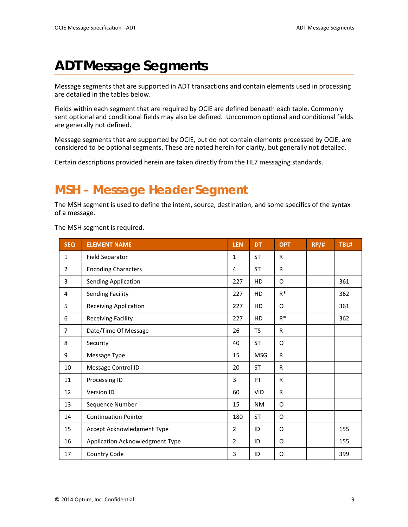# <span id="page-8-0"></span>**ADT Message Segments**

Message segments that are supported in ADT transactions and contain elements used in processing are detailed in the tables below.

Fields within each segment that are required by OCIE are defined beneath each table. Commonly sent optional and conditional fields may also be defined. Uncommon optional and conditional fields are generally not defined.

Message segments that are supported by OCIE, but do not contain elements processed by OCIE, are considered to be optional segments. These are noted herein for clarity, but generally not detailed.

Certain descriptions provided herein are taken directly from the HL7 messaging standards.

### <span id="page-8-1"></span>**MSH – Message Header Segment**

The MSH segment is used to define the intent, source, destination, and some specifics of the syntax of a message.

The MSH segment is required.

| <b>SEQ</b>     | <b>ELEMENT NAME</b>             | <b>LEN</b>     | <b>DT</b>  | <b>OPT</b>   | RP/H | TBL# |
|----------------|---------------------------------|----------------|------------|--------------|------|------|
| $\mathbf{1}$   | <b>Field Separator</b>          | $\mathbf{1}$   | <b>ST</b>  | R            |      |      |
| $\overline{2}$ | <b>Encoding Characters</b>      | 4              | <b>ST</b>  | R            |      |      |
| 3              | <b>Sending Application</b>      | 227            | HD         | O            |      | 361  |
| 4              | <b>Sending Facility</b>         | 227            | HD         | $R^*$        |      | 362  |
| 5              | <b>Receiving Application</b>    | 227            | HD         | O            |      | 361  |
| 6              | <b>Receiving Facility</b>       | 227            | HD         | $R^*$        |      | 362  |
| $\overline{7}$ | Date/Time Of Message            | 26             | <b>TS</b>  | R            |      |      |
| 8              | Security                        | 40             | <b>ST</b>  | O            |      |      |
| 9              | Message Type                    | 15             | <b>MSG</b> | R            |      |      |
| 10             | Message Control ID              | 20             | <b>ST</b>  | $\mathsf{R}$ |      |      |
| 11             | Processing ID                   | 3              | PT         | $\mathsf{R}$ |      |      |
| 12             | Version ID                      | 60             | <b>VID</b> | R            |      |      |
| 13             | Sequence Number                 | 15             | <b>NM</b>  | 0            |      |      |
| 14             | <b>Continuation Pointer</b>     | 180            | <b>ST</b>  | 0            |      |      |
| 15             | Accept Acknowledgment Type      | $\overline{2}$ | ID         | O            |      | 155  |
| 16             | Application Acknowledgment Type | $\overline{2}$ | ID         | O            |      | 155  |
| 17             | Country Code                    | 3              | ID         | 0            |      | 399  |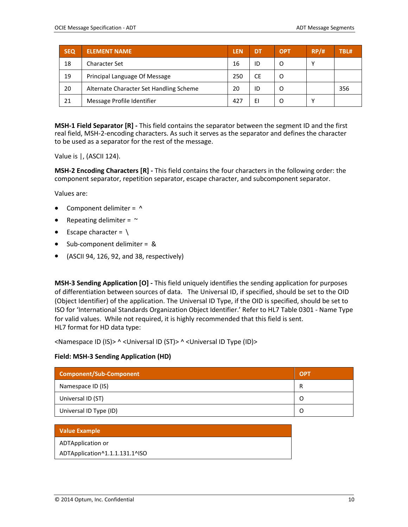| <b>SEQ</b> | <b>ELEMENT NAME</b>                     | <b>LEN</b> | DT | <b>OPT</b> | RP/H | TBL# |
|------------|-----------------------------------------|------------|----|------------|------|------|
| 18         | <b>Character Set</b>                    | 16         | ID |            | ٧    |      |
| 19         | Principal Language Of Message           | 250        | СE |            |      |      |
| 20         | Alternate Character Set Handling Scheme | 20         | ID |            |      | 356  |
| 21         | Message Profile Identifier              | 427        | EI |            | Υ    |      |

**MSH-1 Field Separator [R] -** This field contains the separator between the segment ID and the first real field, MSH-2-encoding characters. As such it serves as the separator and defines the character to be used as a separator for the rest of the message.

Value is |, (ASCII 124).

**MSH-2 Encoding Characters [R] -** This field contains the four characters in the following order: the component separator, repetition separator, escape character, and subcomponent separator.

Values are:

- Component delimiter =  $\wedge$
- Repeating delimiter =  $\sim$
- **Escape character =**  $\setminus$
- Sub-component delimiter = &
- (ASCII 94, 126, 92, and 38, respectively)

**MSH-3 Sending Application [O] -** This field uniquely identifies the sending application for purposes of differentiation between sources of data. The Universal ID, if specified, should be set to the OID (Object Identifier) of the application. The Universal ID Type, if the OID is specified, should be set to ISO for 'International Standards Organization Object Identifier.' Refer to HL7 Table 0301 - Name Type for valid values. While not required, it is highly recommended that this field is sent. HL7 format for HD data type:

<Namespace ID (IS)> ^ <Universal ID (ST)> ^ <Universal ID Type (ID)>

#### **Field: MSH-3 Sending Application (HD)**

| Component/Sub-Component | <b>OPT</b> |
|-------------------------|------------|
| Namespace ID (IS)       | R          |
| Universal ID (ST)       |            |
| Universal ID Type (ID)  |            |

| Value Example                  |
|--------------------------------|
| ADTApplication or              |
| ADTApplication^1.1.1.131.1^ISO |
|                                |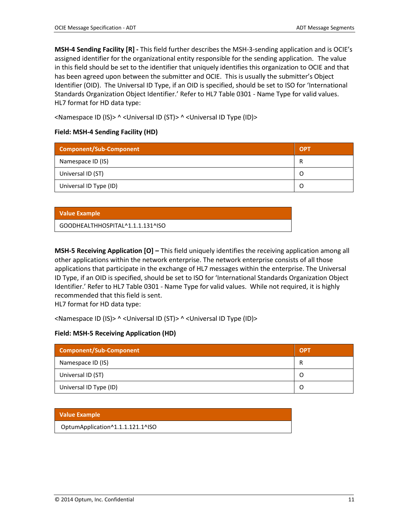**MSH-4 Sending Facility [R] -** This field further describes the MSH-3-sending application and is OCIE's assigned identifier for the organizational entity responsible for the sending application. The value in this field should be set to the identifier that uniquely identifies this organization to OCIE and that has been agreed upon between the submitter and OCIE. This is usually the submitter's Object Identifier (OID). The Universal ID Type, if an OID is specified, should be set to ISO for 'International Standards Organization Object Identifier.' Refer to HL7 Table 0301 - Name Type for valid values. HL7 format for HD data type:

<Namespace ID (IS)> ^ <Universal ID (ST)> ^ <Universal ID Type (ID)>

### **Field: MSH-4 Sending Facility (HD)**

| <b>Component/Sub-Component</b> | <b>OPT</b> |
|--------------------------------|------------|
| Namespace ID (IS)              | R          |
| Universal ID (ST)              |            |
| Universal ID Type (ID)         |            |

#### **Value Example**

GOODHEALTHHOSPITAL^1.1.1.131^ISO

**MSH-5 Receiving Application [O] –** This field uniquely identifies the receiving application among all other applications within the network enterprise. The network enterprise consists of all those applications that participate in the exchange of HL7 messages within the enterprise. The Universal ID Type, if an OID is specified, should be set to ISO for 'International Standards Organization Object Identifier.' Refer to HL7 Table 0301 - Name Type for valid values. While not required, it is highly recommended that this field is sent.

HL7 format for HD data type:

<Namespace ID (IS)> ^ <Universal ID (ST)> ^ <Universal ID Type (ID)>

#### **Field: MSH-5 Receiving Application (HD)**

| <b>Component/Sub-Component</b> | <b>OPT</b> |
|--------------------------------|------------|
| Namespace ID (IS)              |            |
| Universal ID (ST)              | O          |
| Universal ID Type (ID)         | O          |

#### **Value Example**

OptumApplication^1.1.1.121.1^ISO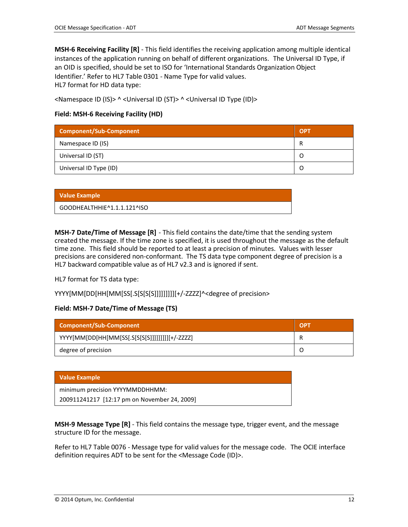**MSH-6 Receiving Facility [R]** - This field identifies the receiving application among multiple identical instances of the application running on behalf of different organizations. The Universal ID Type, if an OID is specified, should be set to ISO for 'International Standards Organization Object Identifier.' Refer to HL7 Table 0301 - Name Type for valid values. HL7 format for HD data type:

<Namespace ID (IS)> ^ <Universal ID (ST)> ^ <Universal ID Type (ID)>

#### **Field: MSH-6 Receiving Facility (HD)**

| Component/Sub-Component | <b>OPT</b> |
|-------------------------|------------|
| Namespace ID (IS)       | R          |
| Universal ID (ST)       |            |
| Universal ID Type (ID)  |            |

| <b>Value Example</b>        |  |
|-----------------------------|--|
| GOODHEALTHHIE^1.1.1.121^ISO |  |

**MSH-7 Date/Time of Message [R]** - This field contains the date/time that the sending system created the message. If the time zone is specified, it is used throughout the message as the default time zone. This field should be reported to at least a precision of minutes. Values with lesser precisions are considered non-conformant. The TS data type component degree of precision is a HL7 backward compatible value as of HL7 v2.3 and is ignored if sent.

HL7 format for TS data type:

YYYY[MM[DD[HH[MM[SS[.S[S[S[S]]]]]]]]][+/-ZZZZ]^<degree of precision>

#### **Field: MSH-7 Date/Time of Message (TS)**

| Component/Sub-Component                        | <b>OPT</b> |
|------------------------------------------------|------------|
| YYYY[MM[DD[HH[MM[SS[.S[S[S[S]]]]]]]]][+/-ZZZZ] |            |
| degree of precision                            |            |

#### **Value Example**

| minimum precision YYYYMMDDHHMM:              |  |
|----------------------------------------------|--|
| 200911241217 [12:17 pm on November 24, 2009] |  |

**MSH-9 Message Type [R]** - This field contains the message type, trigger event, and the message structure ID for the message.

Refer to HL7 Table 0076 - Message type for valid values for the message code. The OCIE interface definition requires ADT to be sent for the <Message Code (ID)>.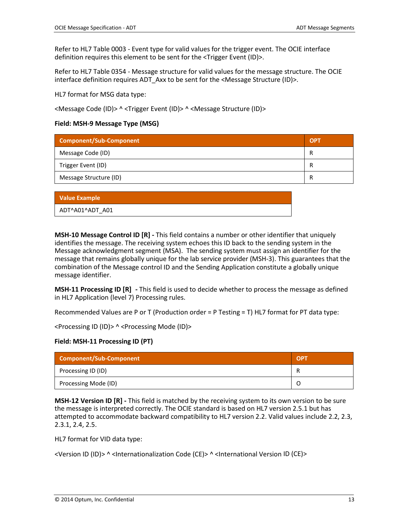Refer to HL7 Table 0003 - Event type for valid values for the trigger event. The OCIE interface definition requires this element to be sent for the <Trigger Event (ID)>.

Refer to HL7 Table 0354 - Message structure for valid values for the message structure. The OCIE interface definition requires ADT\_Axx to be sent for the <Message Structure (ID)>.

HL7 format for MSG data type:

<Message Code (ID)> ^ <Trigger Event (ID)> ^ <Message Structure (ID)>

#### **Field: MSH-9 Message Type (MSG)**

| <b>Component/Sub-Component</b> | <b>OP</b> |
|--------------------------------|-----------|
| Message Code (ID)              | R         |
| Trigger Event (ID)             | R         |
| Message Structure (ID)         | R         |

| <b>Value Example</b> |
|----------------------|
| ADT^A01^ADT A01      |

**MSH-10 Message Control ID [R] -** This field contains a number or other identifier that uniquely identifies the message. The receiving system echoes this ID back to the sending system in the Message acknowledgment segment (MSA). The sending system must assign an identifier for the message that remains globally unique for the lab service provider (MSH-3). This guarantees that the combination of the Message control ID and the Sending Application constitute a globally unique message identifier.

**MSH-11 Processing ID [R] -** This field is used to decide whether to process the message as defined in HL7 Application (level 7) Processing rules.

Recommended Values are P or T (Production order = P Testing = T) HL7 format for PT data type:

<Processing ID (ID)> ^ <Processing Mode (ID)>

#### **Field: MSH-11 Processing ID (PT)**

| Component/Sub-Component | - OPT |
|-------------------------|-------|
| Processing ID (ID)      |       |
| Processing Mode (ID)    |       |

**MSH-12 Version ID [R] -** This field is matched by the receiving system to its own version to be sure the message is interpreted correctly. The OCIE standard is based on HL7 version 2.5.1 but has attempted to accommodate backward compatibility to HL7 version 2.2. Valid values include 2.2, 2.3, 2.3.1, 2.4, 2.5.

HL7 format for VID data type:

<Version ID (ID)> ^ <Internationalization Code (CE)> ^ <International Version ID (CE)>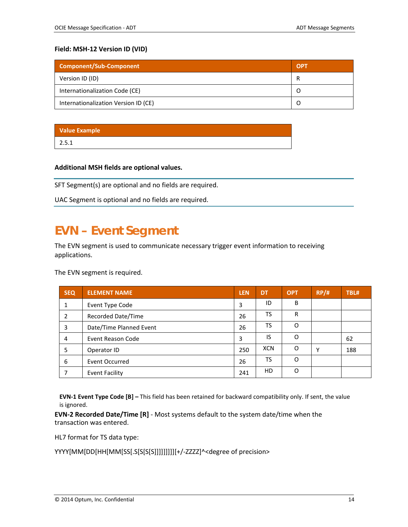#### **Field: MSH-12 Version ID (VID)**

| <b>Component/Sub-Component</b>       | <b>OPT</b> |
|--------------------------------------|------------|
| Version ID (ID)                      | R          |
| Internationalization Code (CE)       |            |
| Internationalization Version ID (CE) |            |

### **Value Example**

2.5.1

#### **Additional MSH fields are optional values.**

SFT Segment(s) are optional and no fields are required.

UAC Segment is optional and no fields are required.

### <span id="page-13-0"></span>**EVN – Event Segment**

The EVN segment is used to communicate necessary trigger event information to receiving applications.

The EVN segment is required.

| <b>SEQ</b> | <b>ELEMENT NAME</b>     | <b>LEN</b> | <b>DT</b>  | <b>OPT</b> | RP/H         | TBL# |
|------------|-------------------------|------------|------------|------------|--------------|------|
| 1          | Event Type Code         | 3          | ID         | B          |              |      |
| 2          | Recorded Date/Time      | 26         | TS         | R          |              |      |
| 3          | Date/Time Planned Event | 26         | TS         | O          |              |      |
| 4          | Event Reason Code       | 3          | IS         | O          |              | 62   |
| 5          | Operator ID             | 250        | <b>XCN</b> | O          | $\checkmark$ | 188  |
| 6          | Event Occurred          | 26         | TS         | $\Omega$   |              |      |
|            | <b>Event Facility</b>   | 241        | HD         | $\Omega$   |              |      |

**EVN-1 Event Type Code [B] –** This field has been retained for backward compatibility only. If sent, the value is ignored.

**EVN-2 Recorded Date/Time [R]** - Most systems default to the system date/time when the transaction was entered.

HL7 format for TS data type:

YYYY[MM[DD[HH[MM[SS[.S[S[S[S]]]]]]]]][+/-ZZZZ]^<degree of precision>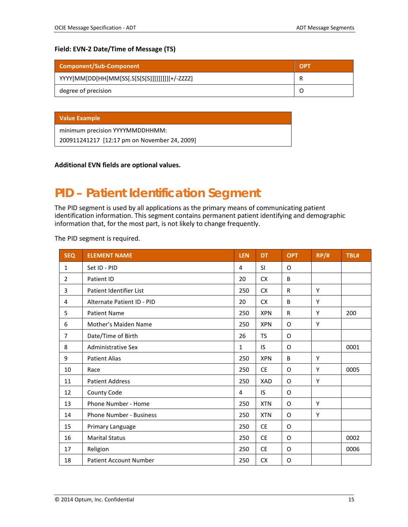#### **Field: EVN-2 Date/Time of Message (TS)**

| Component/Sub-Component                         | <b>OPT</b> |
|-------------------------------------------------|------------|
| YYYY[MM[DD[HH[MM[SS[.S[S[S[S]]]]]]]]]][+/-ZZZZ] |            |
| degree of precision                             |            |

|  | <b>Value Example</b> |  |
|--|----------------------|--|
|  |                      |  |
|  |                      |  |

minimum precision YYYYMMDDHHMM:

200911241217 [12:17 pm on November 24, 2009]

#### **Additional EVN fields are optional values.**

### <span id="page-14-0"></span>**PID – Patient Identification Segment**

The PID segment is used by all applications as the primary means of communicating patient identification information. This segment contains permanent patient identifying and demographic information that, for the most part, is not likely to change frequently.

The PID segment is required.

| <b>SEQ</b>     | <b>ELEMENT NAME</b>            | <b>LEN</b> | <b>DT</b>  | <b>OPT</b> | RP/H | TBL# |
|----------------|--------------------------------|------------|------------|------------|------|------|
| $\mathbf{1}$   | Set ID - PID                   | 4          | <b>SI</b>  | 0          |      |      |
| 2              | Patient ID                     | 20         | <b>CX</b>  | B          |      |      |
| 3              | Patient Identifier List        | 250        | <b>CX</b>  | R          | Y    |      |
| 4              | Alternate Patient ID - PID     | 20         | <b>CX</b>  | B          | Y    |      |
| 5              | <b>Patient Name</b>            | 250        | <b>XPN</b> | R          | Y    | 200  |
| 6              | Mother's Maiden Name           | 250        | <b>XPN</b> | O          | Y    |      |
| $\overline{7}$ | Date/Time of Birth             | 26         | <b>TS</b>  | 0          |      |      |
| 8              | <b>Administrative Sex</b>      | 1          | IS         | O          |      | 0001 |
| 9              | <b>Patient Alias</b>           | 250        | <b>XPN</b> | B          | Y    |      |
| 10             | Race                           | 250        | <b>CE</b>  | O          | Y    | 0005 |
| 11             | <b>Patient Address</b>         | 250        | <b>XAD</b> | 0          | Y    |      |
| 12             | County Code                    | 4          | IS.        | O          |      |      |
| 13             | Phone Number - Home            | 250        | <b>XTN</b> | O          | Y    |      |
| 14             | <b>Phone Number - Business</b> | 250        | <b>XTN</b> | 0          | Y    |      |
| 15             | Primary Language               | 250        | <b>CE</b>  | O          |      |      |
| 16             | <b>Marital Status</b>          | 250        | <b>CE</b>  | 0          |      | 0002 |
| 17             | Religion                       | 250        | <b>CE</b>  | O          |      | 0006 |
| 18             | <b>Patient Account Number</b>  | 250        | <b>CX</b>  | O          |      |      |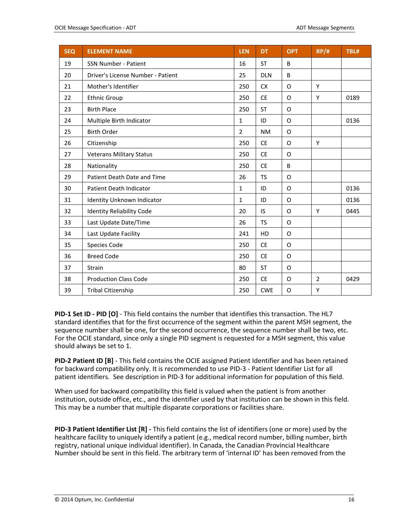| <b>SEQ</b> | <b>ELEMENT NAME</b>               | <b>LEN</b>     | <b>DT</b>  | <b>OPT</b>  | RP/H           | TBL# |
|------------|-----------------------------------|----------------|------------|-------------|----------------|------|
| 19         | <b>SSN Number - Patient</b>       | 16             | <b>ST</b>  | B           |                |      |
| 20         | Driver's License Number - Patient | 25             | <b>DLN</b> | B           |                |      |
| 21         | Mother's Identifier               | 250            | <b>CX</b>  | O           | Υ              |      |
| 22         | <b>Ethnic Group</b>               | 250            | <b>CE</b>  | O           | Y              | 0189 |
| 23         | <b>Birth Place</b>                | 250            | <b>ST</b>  | O           |                |      |
| 24         | Multiple Birth Indicator          | 1              | ID         | O           |                | 0136 |
| 25         | <b>Birth Order</b>                | $\overline{2}$ | <b>NM</b>  | O           |                |      |
| 26         | Citizenship                       | 250            | <b>CE</b>  | O           | Υ              |      |
| 27         | <b>Veterans Military Status</b>   | 250            | <b>CE</b>  | O           |                |      |
| 28         | Nationality                       | 250            | <b>CE</b>  | B           |                |      |
| 29         | Patient Death Date and Time       | 26             | <b>TS</b>  | O           |                |      |
| 30         | Patient Death Indicator           | 1              | ID         | $\mathsf O$ |                | 0136 |
| 31         | Identity Unknown Indicator        | 1              | ID         | O           |                | 0136 |
| 32         | <b>Identity Reliability Code</b>  | 20             | IS         | O           | Υ              | 0445 |
| 33         | Last Update Date/Time             | 26             | <b>TS</b>  | O           |                |      |
| 34         | Last Update Facility              | 241            | HD         | O           |                |      |
| 35         | Species Code                      | 250            | <b>CE</b>  | O           |                |      |
| 36         | <b>Breed Code</b>                 | 250            | <b>CE</b>  | O           |                |      |
| 37         | <b>Strain</b>                     | 80             | <b>ST</b>  | O           |                |      |
| 38         | <b>Production Class Code</b>      | 250            | <b>CE</b>  | O           | $\overline{2}$ | 0429 |
| 39         | Tribal Citizenship                | 250            | <b>CWE</b> | O           | Υ              |      |

**PID-1 Set ID - PID [O]** - This field contains the number that identifies this transaction. The HL7 standard identifies that for the first occurrence of the segment within the parent MSH segment, the sequence number shall be one, for the second occurrence, the sequence number shall be two, etc. For the OCIE standard, since only a single PID segment is requested for a MSH segment, this value should always be set to 1.

**PID-2 Patient ID [B]** - This field contains the OCIE assigned Patient Identifier and has been retained for backward compatibility only. It is recommended to use PID-3 - Patient Identifier List for all patient identifiers. See description in PID-3 for additional information for population of this field.

When used for backward compatibility this field is valued when the patient is from another institution, outside office, etc., and the identifier used by that institution can be shown in this field. This may be a number that multiple disparate corporations or facilities share.

**PID-3 Patient Identifier List [R] -** This field contains the list of identifiers (one or more) used by the healthcare facility to uniquely identify a patient (e.g., medical record number, billing number, birth registry, national unique individual identifier). In Canada, the Canadian Provincial Healthcare Number should be sent in this field. The arbitrary term of 'internal ID' has been removed from the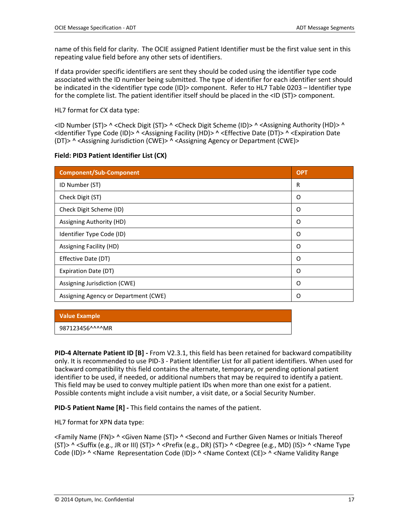name of this field for clarity. The OCIE assigned Patient Identifier must be the first value sent in this repeating value field before any other sets of identifiers.

If data provider specific identifiers are sent they should be coded using the identifier type code associated with the ID number being submitted. The type of identifier for each identifier sent should be indicated in the <identifier type code (ID)> component. Refer to HL7 Table 0203 – Identifier type for the complete list. The patient identifier itself should be placed in the <ID (ST)> component.

HL7 format for CX data type:

<ID Number (ST)> ^ <Check Digit (ST)> ^ <Check Digit Scheme (ID)> ^ <Assigning Authority (HD)> ^ <Identifier Type Code (ID)> ^ <Assigning Facility (HD)> ^ <Effective Date (DT)> ^ <Expiration Date (DT)> ^ <Assigning Jurisdiction (CWE)> ^ <Assigning Agency or Department (CWE)>

|  |  | Field: PID3 Patient Identifier List (CX) |  |  |
|--|--|------------------------------------------|--|--|
|--|--|------------------------------------------|--|--|

| <b>Component/Sub-Component</b>       | <b>OPT</b> |
|--------------------------------------|------------|
| ID Number (ST)                       | R          |
| Check Digit (ST)                     | O          |
| Check Digit Scheme (ID)              | O          |
| Assigning Authority (HD)             | O          |
| Identifier Type Code (ID)            | O          |
| Assigning Facility (HD)              | O          |
| Effective Date (DT)                  | O          |
| Expiration Date (DT)                 | O          |
| Assigning Jurisdiction (CWE)         | O          |
| Assigning Agency or Department (CWE) | Ω          |

#### **Value Example**

987123456^^^^MR

**PID-4 Alternate Patient ID [B] -** From V2.3.1, this field has been retained for backward compatibility only. It is recommended to use PID-3 - Patient Identifier List for all patient identifiers. When used for backward compatibility this field contains the alternate, temporary, or pending optional patient identifier to be used, if needed, or additional numbers that may be required to identify a patient. This field may be used to convey multiple patient IDs when more than one exist for a patient. Possible contents might include a visit number, a visit date, or a Social Security Number.

**PID-5 Patient Name [R] -** This field contains the names of the patient.

HL7 format for XPN data type:

<Family Name (FN)> ^ <Given Name (ST)> ^ <Second and Further Given Names or Initials Thereof (ST)> ^ <Suffix (e.g., JR or III) (ST)> ^ <Prefix (e.g., DR) (ST)> ^ <Degree (e.g., MD) (IS)> ^ <Name Type Code (ID)> ^ <Name Representation Code (ID)> ^ <Name Context (CE)> ^ <Name Validity Range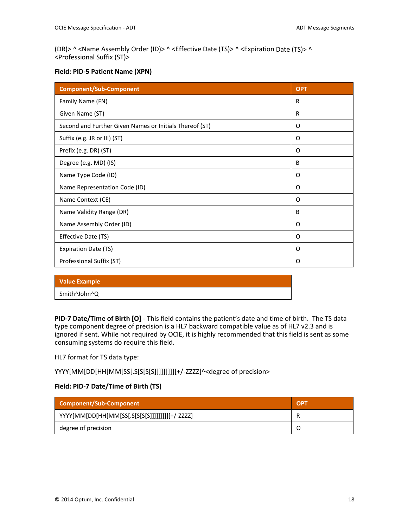(DR)> ^ <Name Assembly Order (ID)> ^ <Effective Date (TS)> ^ <Expiration Date (TS)> ^ <Professional Suffix (ST)>

#### **Field: PID-5 Patient Name (XPN)**

| <b>Component/Sub-Component</b>                          | <b>OPT</b> |
|---------------------------------------------------------|------------|
| Family Name (FN)                                        | R          |
| Given Name (ST)                                         | R          |
| Second and Further Given Names or Initials Thereof (ST) | 0          |
| Suffix (e.g. JR or III) (ST)                            | 0          |
| Prefix (e.g. DR) (ST)                                   | O          |
| Degree (e.g. MD) (IS)                                   | B          |
| Name Type Code (ID)                                     | O          |
| Name Representation Code (ID)                           | O          |
| Name Context (CE)                                       | O          |
| Name Validity Range (DR)                                | B          |
| Name Assembly Order (ID)                                | O          |
| Effective Date (TS)                                     | 0          |
| <b>Expiration Date (TS)</b>                             | O          |
| Professional Suffix (ST)                                | O          |

| <b>Value Example</b> |  |
|----------------------|--|
| Smith^John^Q         |  |
|                      |  |

**PID-7 Date/Time of Birth [O]** - This field contains the patient's date and time of birth. The TS data type component degree of precision is a HL7 backward compatible value as of HL7 v2.3 and is ignored if sent. While not required by OCIE, it is highly recommended that this field is sent as some consuming systems do require this field.

HL7 format for TS data type:

YYYY[MM[DD[HH[MM[SS[.S[S[S[S]]]]]]]]][+/-ZZZZ]^<degree of precision>

### **Field: PID-7 Date/Time of Birth (TS)**

| Component/Sub-Component                        | <b>OPT</b> |
|------------------------------------------------|------------|
| YYYY[MM[DD[HH[MM[SS[.S[S[S[S]]]]]]]]][+/-ZZZZ] |            |
| degree of precision                            |            |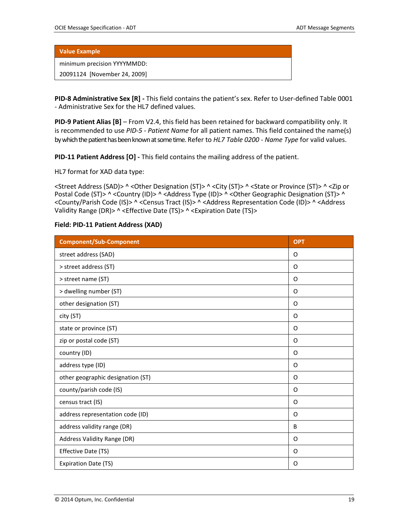minimum precision YYYYMMDD:

20091124 [November 24, 2009]

**PID-8 Administrative Sex [R] -** This field contains the patient's sex. Refer to User-defined Table 0001 - Administrative Sex for the HL7 defined values.

**PID-9 Patient Alias [B]** – From V2.4, this field has been retained for backward compatibility only. It is recommended to use *PID-5 - Patient Name* for all patient names. This field contained the name(s) by which the patient has been known at sometime. Refer to *HL7 Table 0200 - Name Type* for valid values.

**PID-11 Patient Address [O] -** This field contains the mailing address of the patient.

HL7 format for XAD data type:

<Street Address (SAD)> ^ <Other Designation (ST)> ^ <City (ST)> ^ <State or Province (ST)> ^ <Zip or Postal Code (ST)> ^ <Country (ID)> ^ <Address Type (ID)> ^ <Other Geographic Designation (ST)> ^ <County/Parish Code (IS)> ^ <Census Tract (IS)> ^ <Address Representation Code (ID)> ^ <Address Validity Range (DR)> ^ <Effective Date (TS)> ^ <Expiration Date (TS)>

| <b>Component/Sub-Component</b>    | <b>OPT</b> |
|-----------------------------------|------------|
| street address (SAD)              | O          |
| > street address (ST)             | O          |
| > street name (ST)                | O          |
| > dwelling number (ST)            | O          |
| other designation (ST)            | O          |
| city (ST)                         | O          |
| state or province (ST)            | O          |
| zip or postal code (ST)           | O          |
| country (ID)                      | O          |
| address type (ID)                 | O          |
| other geographic designation (ST) | O          |
| county/parish code (IS)           | O          |
| census tract (IS)                 | O          |
| address representation code (ID)  | O          |
| address validity range (DR)       | B          |
| Address Validity Range (DR)       | O          |
| Effective Date (TS)               | O          |
| <b>Expiration Date (TS)</b>       | O          |

#### **Field: PID-11 Patient Address (XAD)**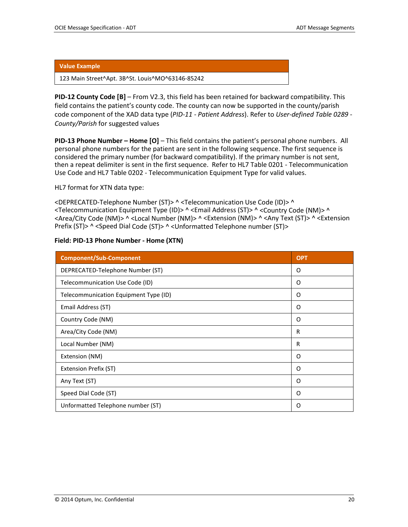123 Main Street^Apt. 3B^St. Louis^MO^63146-85242

**PID-12 County Code [B]** – From V2.3, this field has been retained for backward compatibility. This field contains the patient's county code. The county can now be supported in the county/parish code component of the XAD data type (*PID-11 - Patient Address*). Refer to *User-defined Table 0289 - County/Parish* for suggested values

**PID-13 Phone Number – Home [O]** – This field contains the patient's personal phone numbers. All personal phone numbers for the patient are sent in the following sequence. The first sequence is considered the primary number (for backward compatibility). If the primary number is not sent, then a repeat delimiter is sent in the first sequence. Refer to HL7 Table 0201 - Telecommunication Use Code and HL7 Table 0202 - Telecommunication Equipment Type for valid values.

HL7 format for XTN data type:

<DEPRECATED-Telephone Number (ST)> ^ <Telecommunication Use Code (ID)> ^ <Telecommunication Equipment Type (ID)> ^ <Email Address (ST)> ^ <Country Code (NM)> ^ <Area/City Code (NM)> ^ <Local Number (NM)> ^ <Extension (NM)> ^ <Any Text (ST)> ^ <Extension Prefix (ST)> ^ <Speed Dial Code (ST)> ^ <Unformatted Telephone number (ST)>

| Field: PID-13 Phone Number - Home (XTN) |            |  |  |  |
|-----------------------------------------|------------|--|--|--|
| <b>Component/Sub-Component</b>          | <b>OPT</b> |  |  |  |
| DEPRECATED-Telephone Number (ST)        | O          |  |  |  |
| Telecommunication Use Code (ID)         | O          |  |  |  |
| Telecommunication Equipment Type (ID)   | O          |  |  |  |
| Email Address (ST)                      | O          |  |  |  |
| Country Code (NM)                       | O          |  |  |  |
| Area/City Code (NM)                     | R          |  |  |  |
| Local Number (NM)                       | R          |  |  |  |
| Extension (NM)                          | Ω          |  |  |  |
| <b>Extension Prefix (ST)</b>            | O          |  |  |  |
| Any Text (ST)                           | O          |  |  |  |
| Speed Dial Code (ST)                    | O          |  |  |  |
| Unformatted Telephone number (ST)       | O          |  |  |  |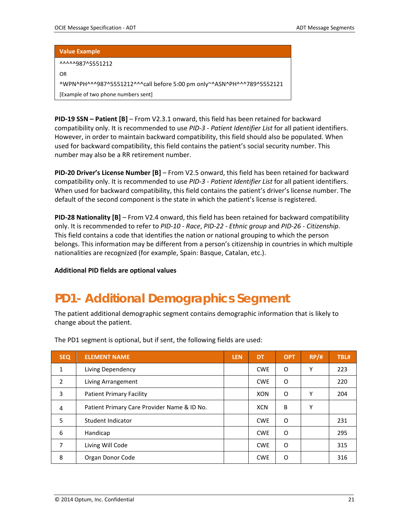^^^^^987^5551212

OR

^WPN^PH^^^987^5551212^^^call before 5:00 pm only~^ASN^PH^^^789^5552121 [Example of two phone numbers sent]

**PID-19 SSN – Patient [B]** – From V2.3.1 onward, this field has been retained for backward compatibility only. It is recommended to use *PID-3 - Patient Identifier List* for all patient identifiers. However, in order to maintain backward compatibility, this field should also be populated. When used for backward compatibility, this field contains the patient's social security number. This number may also be a RR retirement number.

**PID-20 Driver's License Number [B]** – From V2.5 onward, this field has been retained for backward compatibility only. It is recommended to use *PID-3 - Patient Identifier List* for all patient identifiers. When used for backward compatibility, this field contains the patient's driver's license number. The default of the second component is the state in which the patient's license is registered.

**PID-28 Nationality [B]** – From V2.4 onward, this field has been retained for backward compatibility only. It is recommended to refer to *PID-10 - Race*, *PID-22 - Ethnic group* and *PID-26 - Citizenship*. This field contains a code that identifies the nation or national grouping to which the person belongs. This information may be different from a person's citizenship in countries in which multiple nationalities are recognized (for example, Spain: Basque, Catalan, etc.).

**Additional PID fields are optional values**

### <span id="page-20-0"></span>**PD1- Additional Demographics Segment**

The patient additional demographic segment contains demographic information that is likely to change about the patient.

| <b>SEQ</b>     | <b>ELEMENT NAME</b>                         | <b>LEN</b> | <b>DT</b>  | <b>OPT</b> | RP/H | TBL# |
|----------------|---------------------------------------------|------------|------------|------------|------|------|
| 1              | Living Dependency                           |            | <b>CWE</b> | O          | Υ    | 223  |
| $\overline{2}$ | Living Arrangement                          |            | <b>CWE</b> | O          |      | 220  |
| 3              | <b>Patient Primary Facility</b>             |            | <b>XON</b> | 0          | Υ    | 204  |
| 4              | Patient Primary Care Provider Name & ID No. |            | <b>XCN</b> | B          | Υ    |      |
| 5              | Student Indicator                           |            | <b>CWE</b> | O          |      | 231  |
| 6              | Handicap                                    |            | <b>CWE</b> | O          |      | 295  |
| 7              | Living Will Code                            |            | <b>CWE</b> | O          |      | 315  |
| 8              | Organ Donor Code                            |            | <b>CWE</b> | O          |      | 316  |

The PD1 segment is optional, but if sent, the following fields are used: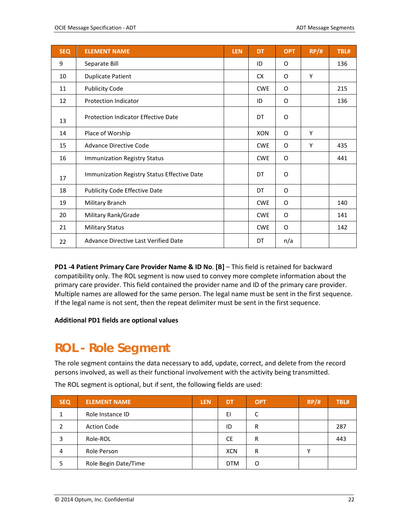| <b>SEQ</b> | <b>ELEMENT NAME</b>                         | <b>LEN</b> | <b>DT</b>  | <b>OPT</b> | RP/H | TBL# |
|------------|---------------------------------------------|------------|------------|------------|------|------|
| 9          | Separate Bill                               |            | ID         | 0          |      | 136  |
| 10         | <b>Duplicate Patient</b>                    |            | <b>CX</b>  | O          | Y    |      |
| 11         | <b>Publicity Code</b>                       |            | <b>CWE</b> | 0          |      | 215  |
| 12         | <b>Protection Indicator</b>                 |            | ID         | O          |      | 136  |
| 13         | <b>Protection Indicator Effective Date</b>  |            | DT         | O          |      |      |
| 14         | Place of Worship                            |            | <b>XON</b> | O          | Y    |      |
| 15         | <b>Advance Directive Code</b>               |            | <b>CWE</b> | O          | Y    | 435  |
| 16         | Immunization Registry Status                |            | <b>CWE</b> | 0          |      | 441  |
| 17         | Immunization Registry Status Effective Date |            | DT         | O          |      |      |
| 18         | <b>Publicity Code Effective Date</b>        |            | DT         | O          |      |      |
| 19         | Military Branch                             |            | <b>CWE</b> | 0          |      | 140  |
| 20         | Military Rank/Grade                         |            | <b>CWE</b> | 0          |      | 141  |
| 21         | <b>Military Status</b>                      |            | <b>CWE</b> | 0          |      | 142  |
| 22         | Advance Directive Last Verified Date        |            | DT         | n/a        |      |      |

**PD1 -4 Patient Primary Care Provider Name & ID No**. **[B]** – This field is retained for backward compatibility only. The ROL segment is now used to convey more complete information about the primary care provider. This field contained the provider name and ID of the primary care provider. Multiple names are allowed for the same person. The legal name must be sent in the first sequence. If the legal name is not sent, then the repeat delimiter must be sent in the first sequence.

**Additional PD1 fields are optional values**

### <span id="page-21-0"></span>**ROL - Role Segment**

The role segment contains the data necessary to add, update, correct, and delete from the record persons involved, as well as their functional involvement with the activity being transmitted.

| <b>SEQ</b> | <b>ELEMENT NAME</b>  | <b>LEN</b> | DT         | <b>OPT</b> | RP/H | TBL# |
|------------|----------------------|------------|------------|------------|------|------|
|            | Role Instance ID     |            | EI         |            |      |      |
|            | <b>Action Code</b>   |            | ID         | R          |      | 287  |
|            | Role-ROL             |            | <b>CE</b>  | R          |      | 443  |
| 4          | Role Person          |            | <b>XCN</b> | R          |      |      |
|            | Role Begin Date/Time |            | <b>DTM</b> | O          |      |      |

The ROL segment is optional, but if sent, the following fields are used: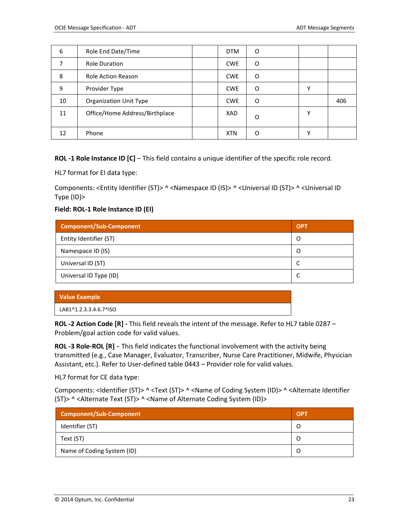| 6  | Role End Date/Time             | <b>DTM</b> | O |   |     |
|----|--------------------------------|------------|---|---|-----|
|    | <b>Role Duration</b>           | <b>CWE</b> | O |   |     |
| 8  | <b>Role Action Reason</b>      | <b>CWE</b> | O |   |     |
| 9  | Provider Type                  | <b>CWE</b> | O |   |     |
| 10 | <b>Organization Unit Type</b>  | <b>CWE</b> | O |   | 406 |
| 11 | Office/Home Address/Birthplace | XAD        | Ω | v |     |
| 12 | Phone                          | <b>XTN</b> | O |   |     |

**ROL -1 Role Instance ID [C]** – This field contains a unique identifier of the specific role record.

HL7 format for EI data type:

Components: <Entity Identifier (ST)> ^ <Namespace ID (IS)> ^ <Universal ID (ST)> ^ <Universal ID Type (ID)>

#### **Field: ROL-1 Role Instance ID (EI)**

| Component/Sub-Component | <b>OPT</b> |
|-------------------------|------------|
| Entity Identifier (ST)  | O          |
| Namespace ID (IS)       | O          |
| Universal ID (ST)       |            |
| Universal ID Type (ID)  | ∼          |

#### **Value Example**

| LAB1^1.2.3.3.4.6.7^ISO |  |  |
|------------------------|--|--|
|                        |  |  |

**ROL -2 Action Code [R] -** This field reveals the intent of the message. Refer to HL7 table 0287 – Problem/goal action code for valid values.

**ROL -3 Role-ROL [R] -** This field indicates the functional involvement with the activity being transmitted (e.g., Case Manager, Evaluator, Transcriber, Nurse Care Practitioner, Midwife, Physician Assistant, etc.). Refer to User-defined table 0443 – Provider role for valid values.

HL7 format for CE data type:

Components: <Identifier (ST)> ^ <Text (ST)> ^ <Name of Coding System (ID)> ^ <Alternate Identifier (ST)> ^ <Alternate Text (ST)> ^ <Name of Alternate Coding System (ID)>

| <b>Component/Sub-Component</b> | <b>OPT</b> |
|--------------------------------|------------|
| Identifier (ST)                |            |
| Text (ST)                      |            |
| Name of Coding System (ID)     |            |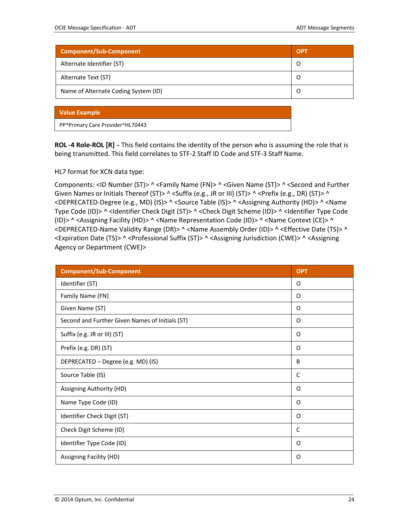| <b>Component/Sub-Component</b>       | <b>OPT</b> |
|--------------------------------------|------------|
| Alternate Identifier (ST)            | O          |
| Alternate Text (ST)                  |            |
| Name of Alternate Coding System (ID) |            |

PP^Primary Care Provider^HL70443

**ROL -4 Role-ROL [R] -** This field contains the identity of the person who is assuming the role that is being transmitted. This field correlates to STF-2 Staff ID Code and STF-3 Staff Name.

HL7 format for XCN data type:

Components: <ID Number (ST)> ^ <Family Name (FN)> ^ <Given Name (ST)> ^ <Second and Further Given Names or Initials Thereof (ST)> ^ < Suffix (e.g., JR or III) (ST)> ^ < Prefix (e.g., DR) (ST)> ^ <DEPRECATED-Degree (e.g., MD) (IS)> ^ <Source Table (IS)> ^ <Assigning Authority (HD)> ^ <Name Type Code (ID)> ^ <Identifier Check Digit (ST)> ^ <Check Digit Scheme (ID)> ^ <Identifier Type Code (ID)> ^ <Assigning Facility (HD)> ^ <Name Representation Code (ID)> ^ <Name Context (CE)> ^ <DEPRECATED-Name Validity Range (DR)> ^ <Name Assembly Order (ID)> ^ <Effective Date (TS)> ^ <Expiration Date (TS)> ^ <Professional Suffix (ST)> ^ <Assigning Jurisdiction (CWE)> ^ <Assigning Agency or Department (CWE)>

| <b>Component/Sub-Component</b>                  | <b>OPT</b> |
|-------------------------------------------------|------------|
| Identifier (ST)                                 | O          |
| Family Name (FN)                                | O          |
| Given Name (ST)                                 | O          |
| Second and Further Given Names of Initials (ST) | O          |
| Suffix (e.g. JR or III) (ST)                    | O          |
| Prefix (e.g. DR) (ST)                           | O          |
| DEPRECATED - Degree (e.g. MD) (IS)              | B          |
| Source Table (IS)                               | C          |
| Assigning Authority (HD)                        | O          |
| Name Type Code (ID)                             | O          |
| Identifier Check Digit (ST)                     | O          |
| Check Digit Scheme (ID)                         | C          |
| Identifier Type Code (ID)                       | O          |
| Assigning Facility (HD)                         | 0          |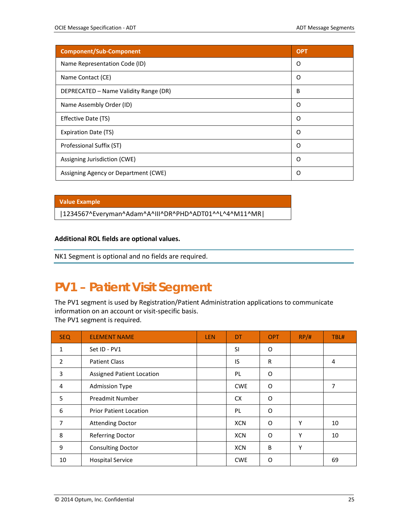| <b>Component/Sub-Component</b>        | <b>OPT</b> |
|---------------------------------------|------------|
| Name Representation Code (ID)         | O          |
| Name Contact (CE)                     | O          |
| DEPRECATED - Name Validity Range (DR) | B          |
| Name Assembly Order (ID)              | O          |
| Effective Date (TS)                   | O          |
| Expiration Date (TS)                  | O          |
| Professional Suffix (ST)              | O          |
| Assigning Jurisdiction (CWE)          | O          |
| Assigning Agency or Department (CWE)  | O          |

|1234567^Everyman^Adam^A^III^DR^PHD^ADT01^^L^4^M11^MR|

#### **Additional ROL fields are optional values.**

NK1 Segment is optional and no fields are required.

### <span id="page-24-0"></span>**PV1 – Patient Visit Segment**

The PV1 segment is used by Registration/Patient Administration applications to communicate information on an account or visit-specific basis. The PV1 segment is required.

| <b>SEQ</b> | <b>ELEMENT NAME</b>              | <b>LEN</b> | DT         | <b>OPT</b> | RP/H | TBL# |
|------------|----------------------------------|------------|------------|------------|------|------|
| 1          | Set ID - PV1                     |            | <b>SI</b>  | O          |      |      |
| 2          | <b>Patient Class</b>             |            | IS         | R          |      | 4    |
| 3          | <b>Assigned Patient Location</b> |            | <b>PL</b>  | 0          |      |      |
| 4          | <b>Admission Type</b>            |            | <b>CWE</b> | O          |      | 7    |
| 5          | <b>Preadmit Number</b>           |            | <b>CX</b>  | O          |      |      |
| 6          | <b>Prior Patient Location</b>    |            | <b>PL</b>  | 0          |      |      |
| 7          | <b>Attending Doctor</b>          |            | <b>XCN</b> | 0          | Υ    | 10   |
| 8          | <b>Referring Doctor</b>          |            | <b>XCN</b> | O          | Υ    | 10   |
| 9          | <b>Consulting Doctor</b>         |            | <b>XCN</b> | B          | Υ    |      |
| 10         | <b>Hospital Service</b>          |            | <b>CWE</b> | 0          |      | 69   |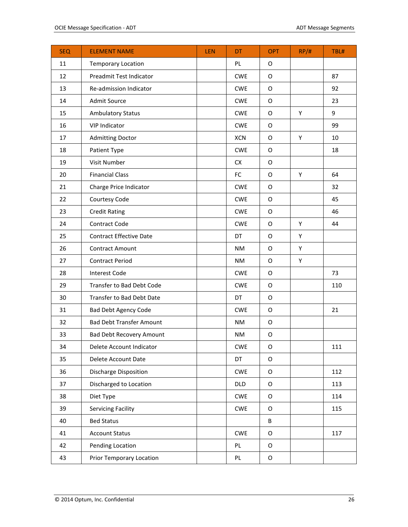| <b>SEQ</b> | <b>ELEMENT NAME</b>             | LEN | <b>DT</b>  | <b>OPT</b>  | RP/H | TBL# |
|------------|---------------------------------|-----|------------|-------------|------|------|
| 11         | <b>Temporary Location</b>       |     | <b>PL</b>  | O           |      |      |
| 12         | Preadmit Test Indicator         |     | <b>CWE</b> | $\circ$     |      | 87   |
| 13         | Re-admission Indicator          |     | <b>CWE</b> | O           |      | 92   |
| 14         | Admit Source                    |     | <b>CWE</b> | O           |      | 23   |
| 15         | <b>Ambulatory Status</b>        |     | <b>CWE</b> | $\circ$     | Υ    | 9    |
| 16         | <b>VIP Indicator</b>            |     | <b>CWE</b> | O           |      | 99   |
| 17         | <b>Admitting Doctor</b>         |     | <b>XCN</b> | O           | Υ    | 10   |
| 18         | Patient Type                    |     | <b>CWE</b> | $\circ$     |      | 18   |
| 19         | Visit Number                    |     | CX         | O           |      |      |
| 20         | <b>Financial Class</b>          |     | FC         | $\circ$     | Υ    | 64   |
| 21         | Charge Price Indicator          |     | <b>CWE</b> | O           |      | 32   |
| 22         | Courtesy Code                   |     | <b>CWE</b> | $\circ$     |      | 45   |
| 23         | <b>Credit Rating</b>            |     | <b>CWE</b> | O           |      | 46   |
| 24         | <b>Contract Code</b>            |     | <b>CWE</b> | O           | Υ    | 44   |
| 25         | <b>Contract Effective Date</b>  |     | DT         | O           | Υ    |      |
| 26         | <b>Contract Amount</b>          |     | NM         | O           | Υ    |      |
| 27         | <b>Contract Period</b>          |     | <b>NM</b>  | O           | Υ    |      |
| 28         | <b>Interest Code</b>            |     | <b>CWE</b> | O           |      | 73   |
| 29         | Transfer to Bad Debt Code       |     | <b>CWE</b> | O           |      | 110  |
| 30         | Transfer to Bad Debt Date       |     | DT         | $\mathsf O$ |      |      |
| 31         | <b>Bad Debt Agency Code</b>     |     | <b>CWE</b> | O           |      | 21   |
| 32         | <b>Bad Debt Transfer Amount</b> |     | <b>NM</b>  | $\circ$     |      |      |
| 33         | <b>Bad Debt Recovery Amount</b> |     | <b>NM</b>  | $\circ$     |      |      |
| 34         | Delete Account Indicator        |     | <b>CWE</b> | $\mathsf O$ |      | 111  |
| 35         | Delete Account Date             |     | DT         | $\mathsf O$ |      |      |
| 36         | Discharge Disposition           |     | <b>CWE</b> | $\mathsf O$ |      | 112  |
| 37         | Discharged to Location          |     | <b>DLD</b> | O           |      | 113  |
| 38         | Diet Type                       |     | <b>CWE</b> | O           |      | 114  |
| 39         | Servicing Facility              |     | <b>CWE</b> | O           |      | 115  |
| 40         | <b>Bed Status</b>               |     |            | B           |      |      |
| 41         | <b>Account Status</b>           |     | <b>CWE</b> | O           |      | 117  |
| 42         | Pending Location                |     | PL         | $\mathsf O$ |      |      |
| 43         | <b>Prior Temporary Location</b> |     | PL         | $\mathsf O$ |      |      |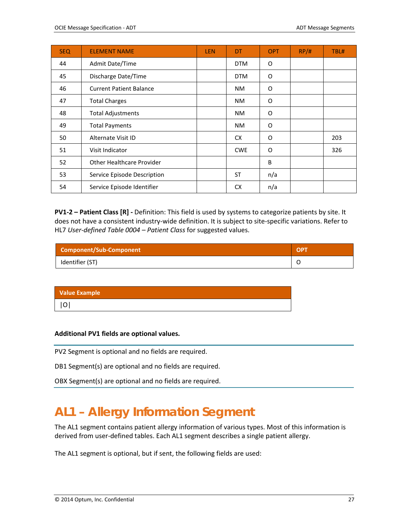| <b>SEQ</b> | <b>ELEMENT NAME</b>              | <b>LEN</b> | DT         | <b>OPT</b> | RP/H | TBL# |
|------------|----------------------------------|------------|------------|------------|------|------|
| 44         | Admit Date/Time                  |            | <b>DTM</b> | 0          |      |      |
| 45         | Discharge Date/Time              |            | <b>DTM</b> | O          |      |      |
| 46         | <b>Current Patient Balance</b>   |            | <b>NM</b>  | O          |      |      |
| 47         | <b>Total Charges</b>             |            | <b>NM</b>  | O          |      |      |
| 48         | <b>Total Adjustments</b>         |            | <b>NM</b>  | O          |      |      |
| 49         | <b>Total Payments</b>            |            | <b>NM</b>  | O          |      |      |
| 50         | Alternate Visit ID               |            | <b>CX</b>  | O          |      | 203  |
| 51         | Visit Indicator                  |            | <b>CWE</b> | O          |      | 326  |
| 52         | <b>Other Healthcare Provider</b> |            |            | B          |      |      |
| 53         | Service Episode Description      |            | <b>ST</b>  | n/a        |      |      |
| 54         | Service Episode Identifier       |            | <b>CX</b>  | n/a        |      |      |

**PV1-2 – Patient Class [R] -** Definition: This field is used by systems to categorize patients by site. It does not have a consistent industry-wide definition. It is subject to site-specific variations. Refer to HL7 *User-defined Table 0004 – Patient Class* for suggested values.

| Component/Sub-Component | <b>OPT</b> |
|-------------------------|------------|
| Identifier (ST)         |            |

| <b>Value Example</b> |  |  |
|----------------------|--|--|
| O                    |  |  |
|                      |  |  |

#### **Additional PV1 fields are optional values.**

PV2 Segment is optional and no fields are required.

DB1 Segment(s) are optional and no fields are required.

OBX Segment(s) are optional and no fields are required.

### <span id="page-26-0"></span>**AL1 – Allergy Information Segment**

The AL1 segment contains patient allergy information of various types. Most of this information is derived from user-defined tables. Each AL1 segment describes a single patient allergy.

The AL1 segment is optional, but if sent, the following fields are used: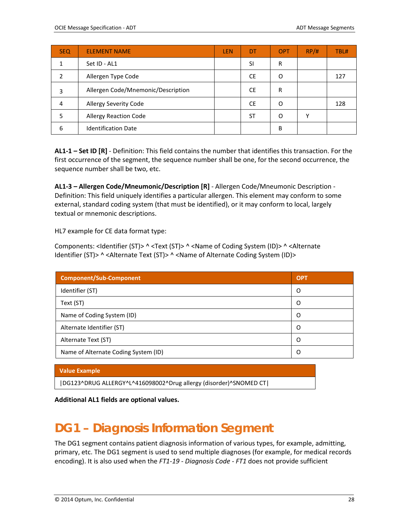| <b>SEQ</b> | <b>ELEMENT NAME</b>                | <b>LEN</b> | DT        | <b>OPT</b> | RP/H | TBL# |
|------------|------------------------------------|------------|-----------|------------|------|------|
|            | Set ID - AL1                       |            | SI        | R          |      |      |
| າ          | Allergen Type Code                 |            | CE.       | O          |      | 127  |
| 3          | Allergen Code/Mnemonic/Description |            | <b>CE</b> | R          |      |      |
| 4          | Allergy Severity Code              |            | CE.       | O          |      | 128  |
|            | <b>Allergy Reaction Code</b>       |            | ST        | Ω          |      |      |
| 6          | <b>Identification Date</b>         |            |           | B          |      |      |

**AL1-1 – Set ID [R]** - Definition: This field contains the number that identifies this transaction. For the first occurrence of the segment, the sequence number shall be one, for the second occurrence, the sequence number shall be two, etc.

**AL1-3 – Allergen Code/Mneumonic/Description [R]** - Allergen Code/Mneumonic Description - Definition: This field uniquely identifies a particular allergen. This element may conform to some external, standard coding system (that must be identified), or it may conform to local, largely textual or mnemonic descriptions.

HL7 example for CE data format type:

Components: <Identifier (ST)> ^ <Text (ST)> ^ <Name of Coding System (ID)> ^ <Alternate Identifier (ST)> ^ <Alternate Text (ST)> ^ <Name of Alternate Coding System (ID)>

| <b>Component/Sub-Component</b>       | <b>OPT</b> |
|--------------------------------------|------------|
| Identifier (ST)                      | O          |
| Text (ST)                            | O          |
| Name of Coding System (ID)           | O          |
| Alternate Identifier (ST)            | O          |
| Alternate Text (ST)                  | O          |
| Name of Alternate Coding System (ID) | O          |

#### **Value Example**

|DG123^DRUG ALLERGY^L^416098002^Drug allergy (disorder)^SNOMED CT|

<span id="page-27-0"></span>**Additional AL1 fields are optional values.**

### **DG1 – Diagnosis Information Segment**

The DG1 segment contains patient diagnosis information of various types, for example, admitting, primary, etc. The DG1 segment is used to send multiple diagnoses (for example, for medical records encoding). It is also used when the *FT1-19 - Diagnosis Code - FT1* does not provide sufficient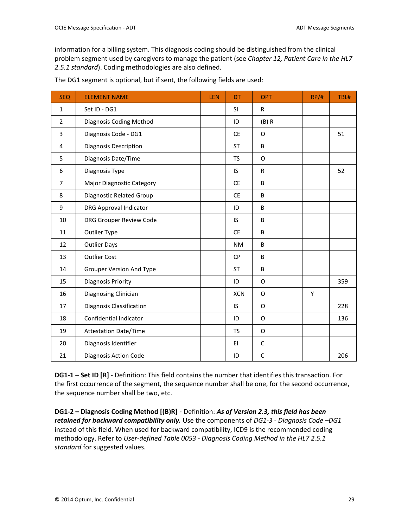information for a billing system. This diagnosis coding should be distinguished from the clinical problem segment used by caregivers to manage the patient (see *Chapter 12, Patient Care in the HL7 2.5.1 standard*). Coding methodologies are also defined.

| <b>SEQ</b>     | <b>ELEMENT NAME</b>              | LEN | <b>DT</b>  | <b>OPT</b>   | RP/H | TBL# |
|----------------|----------------------------------|-----|------------|--------------|------|------|
| $\mathbf{1}$   | Set ID - DG1                     |     | <b>SI</b>  | $\mathsf{R}$ |      |      |
| $\overline{2}$ | Diagnosis Coding Method          |     | ID         | (B) R        |      |      |
| 3              | Diagnosis Code - DG1             |     | <b>CE</b>  | O            |      | 51   |
| 4              | <b>Diagnosis Description</b>     |     | <b>ST</b>  | B            |      |      |
| 5              | Diagnosis Date/Time              |     | <b>TS</b>  | O            |      |      |
| 6              | Diagnosis Type                   |     | IS         | $\mathsf R$  |      | 52   |
| $\overline{7}$ | <b>Major Diagnostic Category</b> |     | <b>CE</b>  | B            |      |      |
| 8              | Diagnostic Related Group         |     | <b>CE</b>  | B            |      |      |
| 9              | <b>DRG Approval Indicator</b>    |     | ID         | B            |      |      |
| 10             | <b>DRG Grouper Review Code</b>   |     | IS         | B            |      |      |
| 11             | <b>Outlier Type</b>              |     | <b>CE</b>  | B            |      |      |
| 12             | <b>Outlier Days</b>              |     | <b>NM</b>  | B            |      |      |
| 13             | <b>Outlier Cost</b>              |     | <b>CP</b>  | B            |      |      |
| 14             | <b>Grouper Version And Type</b>  |     | <b>ST</b>  | B            |      |      |
| 15             | Diagnosis Priority               |     | ID         | O            |      | 359  |
| 16             | Diagnosing Clinician             |     | <b>XCN</b> | O            | Y    |      |
| 17             | Diagnosis Classification         |     | IS         | O            |      | 228  |
| 18             | Confidential Indicator           |     | ID         | O            |      | 136  |
| 19             | <b>Attestation Date/Time</b>     |     | <b>TS</b>  | O            |      |      |
| 20             | Diagnosis Identifier             |     | EI         | $\mathsf C$  |      |      |
| 21             | Diagnosis Action Code            |     | ID         | $\mathsf{C}$ |      | 206  |

The DG1 segment is optional, but if sent, the following fields are used:

**DG1-1 – Set ID [R]** - Definition: This field contains the number that identifies this transaction. For the first occurrence of the segment, the sequence number shall be one, for the second occurrence, the sequence number shall be two, etc.

**DG1-2 – Diagnosis Coding Method [(B)R]** - Definition: *As of Version 2.3, this field has been retained for backward compatibility only.* Use the components of *DG1-3 - Diagnosis Code –DG1* instead of this field. When used for backward compatibility, ICD9 is the recommended coding methodology. Refer to *User-defined Table 0053 - Diagnosis Coding Method in the HL7 2.5.1 standard* for suggested values.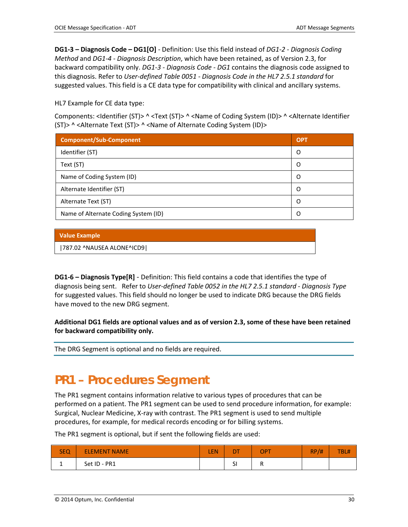**DG1-3 – Diagnosis Code – DG1[O]** - Definition: Use this field instead of *DG1-2 - Diagnosis Coding Method* and *DG1-4 - Diagnosis Description*, which have been retained, as of Version 2.3, for backward compatibility only. *DG1-3 - Diagnosis Code - DG1* contains the diagnosis code assigned to this diagnosis. Refer to *User-defined Table 0051 - Diagnosis Code in the HL7 2.5.1 standard* for suggested values. This field is a CE data type for compatibility with clinical and ancillary systems.

#### HL7 Example for CE data type:

Components: <Identifier (ST)> ^ <Text (ST)> ^ <Name of Coding System (ID)> ^ <Alternate Identifier (ST)> ^ <Alternate Text (ST)> ^ <Name of Alternate Coding System (ID)>

| Component/Sub-Component              | <b>OPT</b> |
|--------------------------------------|------------|
| Identifier (ST)                      | O          |
| Text (ST)                            | O          |
| Name of Coding System (ID)           | O          |
| Alternate Identifier (ST)            | O          |
| Alternate Text (ST)                  | O          |
| Name of Alternate Coding System (ID) | O          |

#### **Value Example**

|787.02 ^NAUSEA ALONE^ICD9|

**DG1-6 – Diagnosis Type[R]** - Definition: This field contains a code that identifies the type of diagnosis being sent. Refer to *User-defined Table 0052 in the HL7 2.5.1 standard - Diagnosis Type*  for suggested values. This field should no longer be used to indicate DRG because the DRG fields have moved to the new DRG segment.

**Additional DG1 fields are optional values and as of version 2.3, some of these have been retained for backward compatibility only.**

The DRG Segment is optional and no fields are required.

### <span id="page-29-0"></span>**PR1 – Procedures Segment**

The PR1 segment contains information relative to various types of procedures that can be performed on a patient. The PR1 segment can be used to send procedure information, for example: Surgical, Nuclear Medicine, X-ray with contrast. The PR1 segment is used to send multiple procedures, for example, for medical records encoding or for billing systems.

The PR1 segment is optional, but if sent the following fields are used:

| <b>SEQ</b> | <b>ELEMENT NAME</b> | <b>LEN</b> | <b>DT</b>                      | <b>OPT</b> | <b>RP</b><br>/# | <b>TBL#</b> |
|------------|---------------------|------------|--------------------------------|------------|-----------------|-------------|
|            | Set ID - PR1        |            | $\overline{\phantom{0}}$<br>اد |            |                 |             |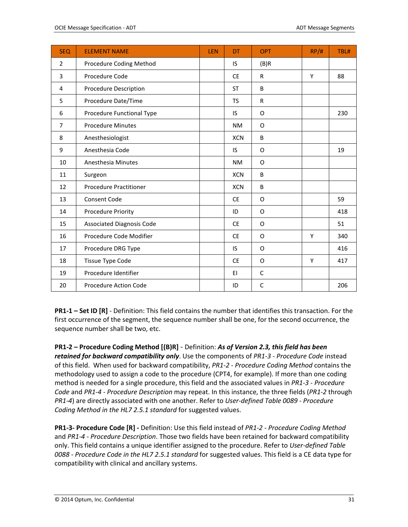| <b>SEQ</b>     | <b>ELEMENT NAME</b>              | <b>LEN</b> | DT         | <b>OPT</b>   | RP/H | TBL# |
|----------------|----------------------------------|------------|------------|--------------|------|------|
| $\overline{2}$ | Procedure Coding Method          |            | IS.        | (B)R         |      |      |
| 3              | Procedure Code                   |            | <b>CE</b>  | $\mathsf{R}$ | Y    | 88   |
| 4              | Procedure Description            |            | <b>ST</b>  | B            |      |      |
| 5              | Procedure Date/Time              |            | <b>TS</b>  | $\mathsf{R}$ |      |      |
| 6              | Procedure Functional Type        |            | IS.        | O            |      | 230  |
| 7              | <b>Procedure Minutes</b>         |            | <b>NM</b>  | O            |      |      |
| 8              | Anesthesiologist                 |            | <b>XCN</b> | B            |      |      |
| 9              | Anesthesia Code                  |            | IS.        | O            |      | 19   |
| 10             | Anesthesia Minutes               |            | <b>NM</b>  | O            |      |      |
| 11             | Surgeon                          |            | <b>XCN</b> | B            |      |      |
| 12             | <b>Procedure Practitioner</b>    |            | <b>XCN</b> | B            |      |      |
| 13             | <b>Consent Code</b>              |            | <b>CE</b>  | O            |      | 59   |
| 14             | Procedure Priority               |            | ID         | O            |      | 418  |
| 15             | <b>Associated Diagnosis Code</b> |            | <b>CE</b>  | O            |      | 51   |
| 16             | Procedure Code Modifier          |            | <b>CE</b>  | O            | Y    | 340  |
| 17             | Procedure DRG Type               |            | IS         | O            |      | 416  |
| 18             | Tissue Type Code                 |            | <b>CE</b>  | O            | Y    | 417  |
| 19             | Procedure Identifier             |            | EI         | C            |      |      |
| 20             | Procedure Action Code            |            | ID         | C            |      | 206  |

**PR1-1 – Set ID [R]** - Definition: This field contains the number that identifies this transaction. For the first occurrence of the segment, the sequence number shall be one, for the second occurrence, the sequence number shall be two, etc.

**PR1-2 – Procedure Coding Method [(B)R]** - Definition: *As of Version 2.3, this field has been retained for backward compatibility only*. Use the components of *PR1-3 - Procedure Code* instead of this field. When used for backward compatibility, *PR1-2 - Procedure Coding Method* contains the methodology used to assign a code to the procedure (CPT4, for example). If more than one coding method is needed for a single procedure, this field and the associated values in *PR1-3 - Procedure Code* and *PR1-4 - Procedure Description* may repeat. In this instance, the three fields (*PR1-2* through *PR1-4*) are directly associated with one another. Refer to *User-defined Table 0089 - Procedure Coding Method in the HL7 2.5.1 standard* for suggested values.

**PR1-3- Procedure Code [R] -** Definition: Use this field instead of *PR1-2 - Procedure Coding Method*  and *PR1-4 - Procedure Description*. Those two fields have been retained for backward compatibility only. This field contains a unique identifier assigned to the procedure. Refer to *User-defined Table 0088 - Procedure Code in the HL7 2.5.1 standard* for suggested values. This field is a CE data type for compatibility with clinical and ancillary systems.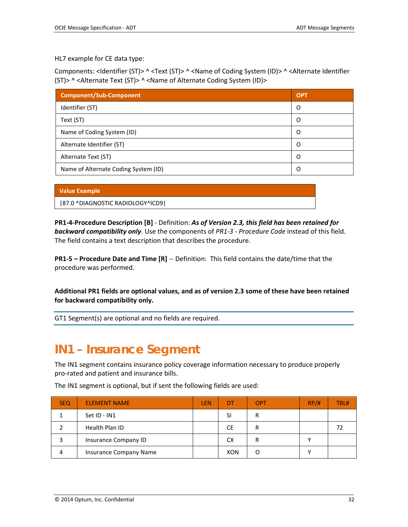HL7 example for CE data type:

Components: <Identifier (ST)> ^ <Text (ST)> ^ <Name of Coding System (ID)> ^ <Alternate Identifier (ST)> ^ <Alternate Text (ST)> ^ <Name of Alternate Coding System (ID)>

| <b>Component/Sub-Component</b>       | <b>OPT</b> |
|--------------------------------------|------------|
| Identifier (ST)                      | O          |
| Text (ST)                            | O          |
| Name of Coding System (ID)           | O          |
| Alternate Identifier (ST)            | O          |
| Alternate Text (ST)                  | Ω          |
| Name of Alternate Coding System (ID) |            |

|  | <b>Value Example</b> |  |
|--|----------------------|--|
|  |                      |  |
|  |                      |  |

|87.0 ^DIAGNOSTIC RADIOLOGY^ICD9|

**PR1-4-Procedure Description [B]** - Definition: *As of Version 2.3, this field has been retained for backward compatibility only*. Use the components of *PR1-3 - Procedure Code* instead of this field. The field contains a text description that describes the procedure.

**PR1-5 – Procedure Date and Time [R]** – Definition: This field contains the date/time that the procedure was performed.

**Additional PR1 fields are optional values, and as of version 2.3 some of these have been retained for backward compatibility only.**

GT1 Segment(s) are optional and no fields are required.

### <span id="page-31-0"></span>**IN1 – Insurance Segment**

The IN1 segment contains insurance policy coverage information necessary to produce properly pro-rated and patient and insurance bills.

| <b>SEQ</b> | <b>ELEMENT NAME</b>    | <b>LEN</b> | DT         | OPT | RP/H | TBL# |
|------------|------------------------|------------|------------|-----|------|------|
|            | Set ID - IN1           |            | SI         | R   |      |      |
|            | Health Plan ID         |            | <b>CE</b>  | R   |      |      |
|            | Insurance Company ID   |            | СX         | R   |      |      |
| 4          | Insurance Company Name |            | <b>XON</b> | C   |      |      |

The IN1 segment is optional, but if sent the following fields are used: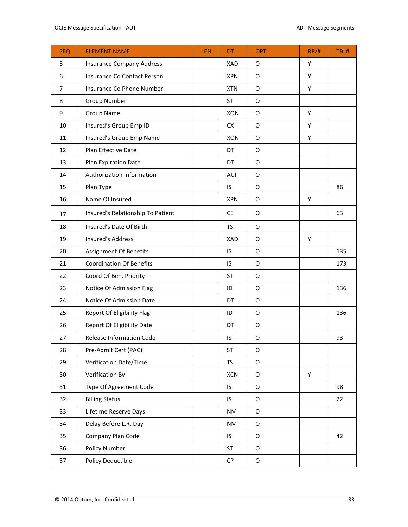| <b>SEQ</b>     | <b>ELEMENT NAME</b>               | LEN | <b>DT</b>  | <b>OPT</b>  | RP/H | TBL# |
|----------------|-----------------------------------|-----|------------|-------------|------|------|
| 5              | <b>Insurance Company Address</b>  |     | <b>XAD</b> | O           | Υ    |      |
| 6              | Insurance Co Contact Person       |     | <b>XPN</b> | $\mathsf O$ | Υ    |      |
| $\overline{7}$ | Insurance Co Phone Number         |     | <b>XTN</b> | O           | Υ    |      |
| 8              | <b>Group Number</b>               |     | <b>ST</b>  | $\mathsf O$ |      |      |
| 9              | <b>Group Name</b>                 |     | <b>XON</b> | O           | Υ    |      |
| 10             | Insured's Group Emp ID            |     | CX         | O           | Y    |      |
| 11             | Insured's Group Emp Name          |     | <b>XON</b> | O           | Y    |      |
| 12             | Plan Effective Date               |     | DT         | O           |      |      |
| 13             | Plan Expiration Date              |     | DT         | O           |      |      |
| 14             | Authorization Information         |     | AUI        | O           |      |      |
| 15             | Plan Type                         |     | IS         | O           |      | 86   |
| 16             | Name Of Insured                   |     | <b>XPN</b> | $\mathsf O$ | Υ    |      |
| 17             | Insured's Relationship To Patient |     | <b>CE</b>  | O           |      | 63   |
| 18             | Insured's Date Of Birth           |     | <b>TS</b>  | $\mathsf O$ |      |      |
| 19             | Insured's Address                 |     | XAD        | O           | Υ    |      |
| 20             | Assignment Of Benefits            |     | IS         | O           |      | 135  |
| 21             | <b>Coordination Of Benefits</b>   |     | IS         | O           |      | 173  |
| 22             | Coord Of Ben. Priority            |     | <b>ST</b>  | O           |      |      |
| 23             | Notice Of Admission Flag          |     | ID         | O           |      | 136  |
| 24             | Notice Of Admission Date          |     | DT         | O           |      |      |
| 25             | Report Of Eligibility Flag        |     | ID         | O           |      | 136  |
| 26             | Report Of Eligibility Date        |     | DT         | O           |      |      |
| 27             | Release Information Code          |     | IS         | O           |      | 93   |
| 28             | Pre-Admit Cert (PAC)              |     | ST         | $\mathsf O$ |      |      |
| 29             | Verification Date/Time            |     | TS         | $\mathsf O$ |      |      |
| 30             | Verification By                   |     | <b>XCN</b> | $\mathsf O$ | Υ    |      |
| 31             | Type Of Agreement Code            |     | IS         | O           |      | 98   |
| 32             | <b>Billing Status</b>             |     | IS         | $\mathsf O$ |      | 22   |
| 33             | Lifetime Reserve Days             |     | <b>NM</b>  | $\mathsf O$ |      |      |
| 34             | Delay Before L.R. Day             |     | <b>NM</b>  | $\mathsf O$ |      |      |
| 35             | Company Plan Code                 |     | IS         | $\mathsf O$ |      | 42   |
| 36             | Policy Number                     |     | <b>ST</b>  | O           |      |      |
| 37             | Policy Deductible                 |     | ${\sf CP}$ | O           |      |      |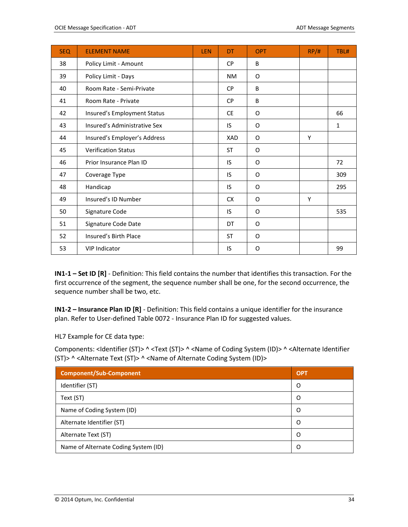| <b>SEQ</b> | <b>ELEMENT NAME</b>          | LEN | DT        | <b>OPT</b> | RP/H | TBL#         |
|------------|------------------------------|-----|-----------|------------|------|--------------|
| 38         | Policy Limit - Amount        |     | <b>CP</b> | B          |      |              |
| 39         | Policy Limit - Days          |     | <b>NM</b> | O          |      |              |
| 40         | Room Rate - Semi-Private     |     | <b>CP</b> | B          |      |              |
| 41         | Room Rate - Private          |     | <b>CP</b> | B          |      |              |
| 42         | Insured's Employment Status  |     | <b>CE</b> | O          |      | 66           |
| 43         | Insured's Administrative Sex |     | IS        | O          |      | $\mathbf{1}$ |
| 44         | Insured's Employer's Address |     | XAD       | O          | Y    |              |
| 45         | <b>Verification Status</b>   |     | ST        | O          |      |              |
| 46         | Prior Insurance Plan ID      |     | <b>IS</b> | O          |      | 72           |
| 47         | Coverage Type                |     | IS        | O          |      | 309          |
| 48         | Handicap                     |     | IS        | O          |      | 295          |
| 49         | Insured's ID Number          |     | <b>CX</b> | O          | Y    |              |
| 50         | Signature Code               |     | IS        | O          |      | 535          |
| 51         | Signature Code Date          |     | DT        | O          |      |              |
| 52         | Insured's Birth Place        |     | <b>ST</b> | O          |      |              |
| 53         | <b>VIP Indicator</b>         |     | IS        | O          |      | 99           |

**IN1-1 – Set ID [R]** - Definition: This field contains the number that identifies this transaction. For the first occurrence of the segment, the sequence number shall be one, for the second occurrence, the sequence number shall be two, etc.

**IN1-2 – Insurance Plan ID [R]** - Definition: This field contains a unique identifier for the insurance plan. Refer to User-defined Table 0072 - Insurance Plan ID for suggested values.

HL7 Example for CE data type:

Components: <Identifier (ST)> ^ <Text (ST)> ^ <Name of Coding System (ID)> ^ <Alternate Identifier (ST)> ^ <Alternate Text (ST)> ^ <Name of Alternate Coding System (ID)>

| <b>Component/Sub-Component</b>       | <b>OPT</b> |
|--------------------------------------|------------|
| Identifier (ST)                      | O          |
| Text (ST)                            | O          |
| Name of Coding System (ID)           | Ω          |
| Alternate Identifier (ST)            | O          |
| Alternate Text (ST)                  | O          |
| Name of Alternate Coding System (ID) | O          |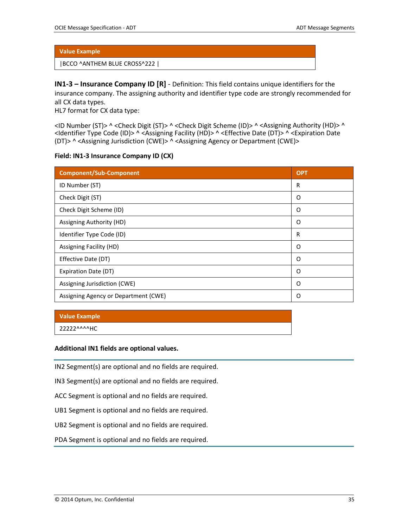#### |BCCO ^ANTHEM BLUE CROSS^222 |

**IN1-3 – Insurance Company ID [R]** - Definition: This field contains unique identifiers for the insurance company. The assigning authority and identifier type code are strongly recommended for all CX data types.

HL7 format for CX data type:

<ID Number (ST)> ^ <Check Digit (ST)> ^ <Check Digit Scheme (ID)> ^ <Assigning Authority (HD)> ^ <Identifier Type Code (ID)> ^ <Assigning Facility (HD)> ^ <Effective Date (DT)> ^ <Expiration Date (DT)> ^ <Assigning Jurisdiction (CWE)> ^ <Assigning Agency or Department (CWE)>

#### **Field: IN1-3 Insurance Company ID (CX)**

| <b>Component/Sub-Component</b>       | <b>OPT</b> |
|--------------------------------------|------------|
| ID Number (ST)                       | R          |
| Check Digit (ST)                     | O          |
| Check Digit Scheme (ID)              | O          |
| Assigning Authority (HD)             | O          |
| Identifier Type Code (ID)            | R          |
| Assigning Facility (HD)              | O          |
| Effective Date (DT)                  | O          |
| Expiration Date (DT)                 | O          |
| Assigning Jurisdiction (CWE)         | O          |
| Assigning Agency or Department (CWE) | O          |

#### **Value Example**

2222<sup>^^^^</sup>HC

#### **Additional IN1 fields are optional values.**

IN2 Segment(s) are optional and no fields are required.

IN3 Segment(s) are optional and no fields are required.

ACC Segment is optional and no fields are required.

UB1 Segment is optional and no fields are required.

UB2 Segment is optional and no fields are required.

PDA Segment is optional and no fields are required.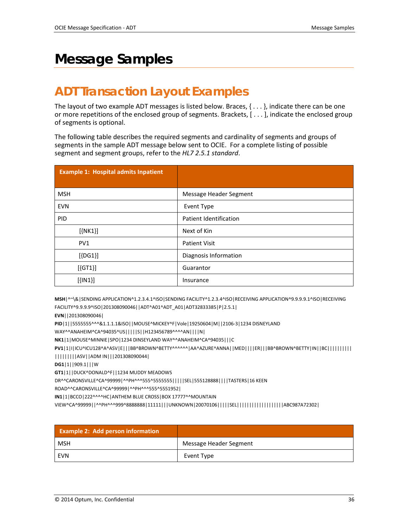## <span id="page-35-0"></span>**Message Samples**

### <span id="page-35-1"></span>**ADT Transaction Layout Examples**

The layout of two example ADT messages is listed below. Braces, { . . . }, indicate there can be one or more repetitions of the enclosed group of segments. Brackets, [ . . . ], indicate the enclosed group of segments is optional.

The following table describes the required segments and cardinality of segments and groups of segments in the sample ADT message below sent to OCIE. For a complete listing of possible segment and segment groups, refer to the *HL7 2.5.1 standard*.

| <b>Example 1: Hospital admits Inpatient</b> |                        |
|---------------------------------------------|------------------------|
|                                             |                        |
| <b>MSH</b>                                  | Message Header Segment |
| <b>EVN</b>                                  | Event Type             |
| <b>PID</b>                                  | Patient Identification |
| $[\{NK1\}]$                                 | Next of Kin            |
| PV1                                         | <b>Patient Visit</b>   |
| $[$ {DG1}]                                  | Diagnosis Information  |
| $[{GT1}]$                                   | Guarantor              |
| $[$ {IN1}]                                  | Insurance              |

**MSH**|^~\&|SENDING APPLICATION^1.2.3.4.1^ISO|SENDING FACILITY^1.2.3.4^ISO|RECEIVING APPLICATION^9.9.9.9.1^ISO|RECEIVING FACILITY^9.9.9.9^ISO|201308090046||ADT^A01^ADT\_A01|ADT32833385|P|2.5.1|

**EVN**||201308090046|

**PID**|1||5555555^^^&1.1.1.1&ISO||MOUSE^MICKEY^F|Vole|19250604|M||2106-3|1234 DISNEYLAND

WAY^^ANAHEIM^CA^94035^US|||||S||H123456789^^^^AN||||N|

**NK1**|1|MOUSE^MINNIE|SPO|1234 DINSEYLAND WAY^^ANAHEIM^CA^94035|||C

**PV1**|1|I|ICU^ICU128^A^ASV|E|||BB^BROWN^BETTY^^^^^^|AA^AZURE^ANNA||MED||||ER|||BB^BROWN^BETTY|IN||BC||||||||||

|||||||||ASV||ADM IN|||201308090044|

**DG1**|1||909.1|||W

**GT1**|1||DUCK^DONALD^F||1234 MUDDY MEADOWS

DR^^CARONSVILLE^CA^99999|^^PH^^^555^5555555|||||SEL|555128888||||TASTERS|16 KEEN

ROAD^^CARONSVILLE^CA^99999|^^PH^^^555^5551952|

**IN1**|1|BCCO|222^^^^HC|ANTHEM BLUE CROSS|BOX 17777^^MOUNTAIN

VIEW^CA^99999||^^PH^^^999^8888888|11111|||UNKNOWN|20070106|||||SEL|||||||||||||||||||ABC987A72302|

| <b>Example 2: Add person information</b> |                        |
|------------------------------------------|------------------------|
| MSH                                      | Message Header Segment |
| EVN                                      | Event Type             |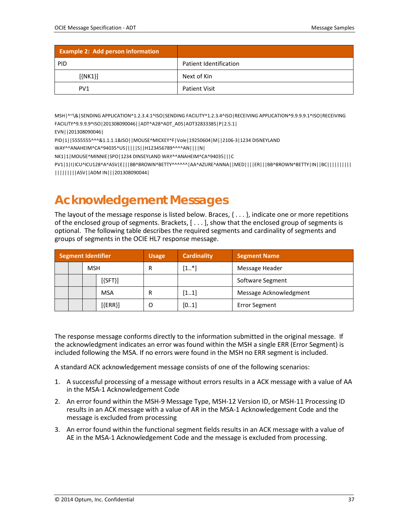| <b>Example 2: Add person information</b> |                        |
|------------------------------------------|------------------------|
| <b>PID</b>                               | Patient Identification |
| $[\{NK1\}]$                              | Next of Kin            |
| PV <sub>1</sub>                          | <b>Patient Visit</b>   |

MSH|^~\&|SENDING APPLICATION^1.2.3.4.1^ISO|SENDING FACILITY^1.2.3.4^ISO|RECEIVING APPLICATION^9.9.9.9.1^ISO|RECEIVING FACILITY^9.9.9.9^ISO|201308090046||ADT^A28^ADT\_A05|ADT32833385|P|2.5.1|

EVN||201308090046|

PID|1||5555555^^^&1.1.1.1&ISO||MOUSE^MICKEY^F|Vole|19250604|M||2106-3|1234 DISNEYLAND

WAY^^ANAHEIM^CA^94035^US|||||S||H123456789^^^^AN||||N|

NK1|1|MOUSE^MINNIE|SPO|1234 DINSEYLAND WAY^^ANAHEIM^CA^94035|||C

<span id="page-36-0"></span>PV1|1|I|ICU^ICU128^A^ASV|E|||BB^BROWN^BETTY^^^^^^|AA^AZURE^ANNA||MED||||ER|||BB^BROWN^BETTY|IN||BC|||||||||| |||||||||ASV||ADM IN|||201308090044|

### **Acknowledgement Messages**

The layout of the message response is listed below. Braces,  $\{ \ldots \}$ , indicate one or more repetitions of the enclosed group of segments. Brackets, [ . . . ], show that the enclosed group of segments is optional. The following table describes the required segments and cardinality of segments and groups of segments in the OCIE HL7 response message.

|  |            | <b>Segment Identifier</b> | <b>Usage</b> | <b>Cardinality</b> | <b>Segment Name</b>    |  |
|--|------------|---------------------------|--------------|--------------------|------------------------|--|
|  | <b>MSH</b> |                           | R            | $[1*]$             | Message Header         |  |
|  |            | $[\{SFT\}]$               |              |                    | Software Segment       |  |
|  |            | <b>MSA</b>                |              | [11]               | Message Acknowledgment |  |
|  |            | $[$ {ERR}]                | O            | [01]               | <b>Error Segment</b>   |  |

The response message conforms directly to the information submitted in the original message. If the acknowledgment indicates an error was found within the MSH a single ERR (Error Segment) is included following the MSA. If no errors were found in the MSH no ERR segment is included.

A standard ACK acknowledgement message consists of one of the following scenarios:

- 1. A successful processing of a message without errors results in a ACK message with a value of AA in the MSA-1 Acknowledgement Code
- 2. An error found within the MSH-9 Message Type, MSH-12 Version ID, or MSH-11 Processing ID results in an ACK message with a value of AR in the MSA-1 Acknowledgement Code and the message is excluded from processing
- 3. An error found within the functional segment fields results in an ACK message with a value of AE in the MSA-1 Acknowledgement Code and the message is excluded from processing.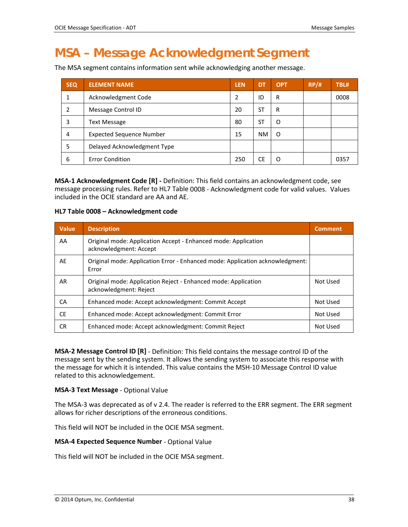### <span id="page-37-0"></span>**MSA – Message Acknowledgment Segment**

The MSA segment contains information sent while acknowledging another message.

| <b>SEQ</b> | <b>ELEMENT NAME</b>             | <b>LEN</b> | <b>DT</b> | <b>OPT</b> | RP/H | TBL# |
|------------|---------------------------------|------------|-----------|------------|------|------|
|            | Acknowledgment Code             | 2          | ID        | R          |      | 0008 |
| 2          | Message Control ID              | 20         | ST.       | R          |      |      |
| 3          | <b>Text Message</b>             | 80         | ST        | O          |      |      |
| 4          | <b>Expected Sequence Number</b> | 15         | <b>NM</b> | O          |      |      |
| 5          | Delayed Acknowledgment Type     |            |           |            |      |      |
| 6          | <b>Error Condition</b>          | 250        | CE        | O          |      | 0357 |

**MSA-1 Acknowledgment Code [R] -** Definition: This field contains an acknowledgment code, see message processing rules. Refer to HL7 Table 0008 - Acknowledgment code for valid values. Values included in the OCIE standard are AA and AE.

#### **HL7 Table 0008 – Acknowledgment code**

| <b>Value</b> | <b>Description</b>                                                                       | <b>Comment</b> |
|--------------|------------------------------------------------------------------------------------------|----------------|
| AA           | Original mode: Application Accept - Enhanced mode: Application<br>acknowledgment: Accept |                |
| AE           | Original mode: Application Error - Enhanced mode: Application acknowledgment:<br>Error   |                |
| AR           | Original mode: Application Reject - Enhanced mode: Application<br>acknowledgment: Reject | Not Used       |
| СA           | Enhanced mode: Accept acknowledgment: Commit Accept                                      | Not Used       |
| <b>CE</b>    | Enhanced mode: Accept acknowledgment: Commit Error                                       | Not Used       |
| CR.          | Enhanced mode: Accept acknowledgment: Commit Reject                                      | Not Used       |

**MSA-2 Message Control ID [R]** - Definition: This field contains the message control ID of the message sent by the sending system. It allows the sending system to associate this response with the message for which it is intended. This value contains the MSH-10 Message Control ID value related to this acknowledgement.

#### **MSA-3 Text Message** - Optional Value

The MSA-3 was deprecated as of v 2.4. The reader is referred to the ERR segment. The ERR segment allows for richer descriptions of the erroneous conditions.

This field will NOT be included in the OCIE MSA segment.

#### **MSA-4 Expected Sequence Number** - Optional Value

This field will NOT be included in the OCIE MSA segment.